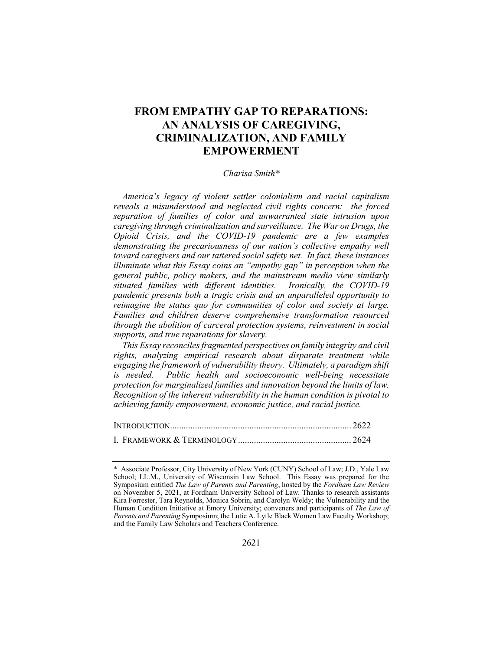# **FROM EMPATHY GAP TO REPARATIONS: AN ANALYSIS OF CAREGIVING, CRIMINALIZATION, AND FAMILY EMPOWERMENT**

### *Charisa Smith\**

*America's legacy of violent settler colonialism and racial capitalism reveals a misunderstood and neglected civil rights concern: the forced separation of families of color and unwarranted state intrusion upon caregiving through criminalization and surveillance. The War on Drugs, the Opioid Crisis, and the COVID-19 pandemic are a few examples demonstrating the precariousness of our nation's collective empathy well toward caregivers and our tattered social safety net. In fact, these instances illuminate what this Essay coins an "empathy gap" in perception when the general public, policy makers, and the mainstream media view similarly situated families with different identities. Ironically, the COVID-19 pandemic presents both a tragic crisis and an unparalleled opportunity to reimagine the status quo for communities of color and society at large. Families and children deserve comprehensive transformation resourced through the abolition of carceral protection systems, reinvestment in social supports, and true reparations for slavery.*

*This Essay reconciles fragmented perspectives on family integrity and civil rights, analyzing empirical research about disparate treatment while engaging the framework of vulnerability theory. Ultimately, a paradigm shift is needed. Public health and socioeconomic well-being necessitate protection for marginalized families and innovation beyond the limits of law. Recognition of the inherent vulnerability in the human condition is pivotal to achieving family empowerment, economic justice, and racial justice.*

Associate Professor, City University of New York (CUNY) School of Law; J.D., Yale Law School; LL.M., University of Wisconsin Law School. This Essay was prepared for the Symposium entitled *The Law of Parents and Parenting*, hosted by the *Fordham Law Review* on November 5, 2021, at Fordham University School of Law. Thanks to research assistants Kira Forrester, Tara Reynolds, Monica Sobrin, and Carolyn Weldy; the Vulnerability and the Human Condition Initiative at Emory University; conveners and participants of *The Law of Parents and Parenting* Symposium; the Lutie A. Lytle Black Women Law Faculty Workshop; and the Family Law Scholars and Teachers Conference.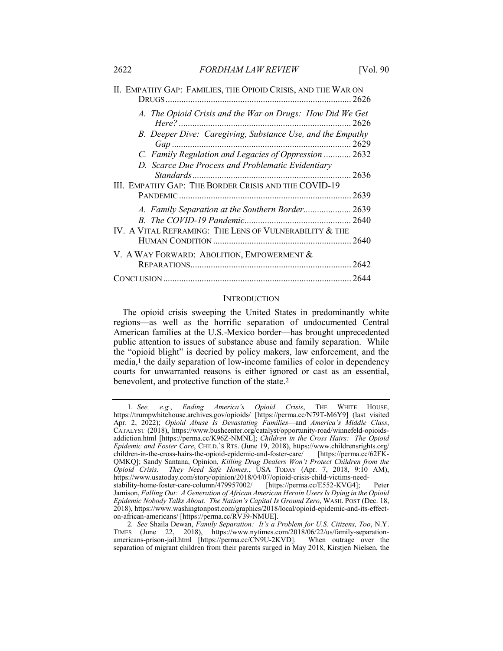| II. EMPATHY GAP: FAMILIES, THE OPIOID CRISIS, AND THE WAR ON                 |
|------------------------------------------------------------------------------|
| A. The Opioid Crisis and the War on Drugs: How Did We Get<br>$Here?$<br>2626 |
| B. Deeper Dive: Caregiving, Substance Use, and the Empathy                   |
| C. Family Regulation and Legacies of Oppression  2632                        |
| D. Scarce Due Process and Problematic Evidentiary                            |
| III. EMPATHY GAP: THE BORDER CRISIS AND THE COVID-19                         |
|                                                                              |
| A. Family Separation at the Southern Border 2639                             |
|                                                                              |
| IV. A VITAL REFRAMING: THE LENS OF VULNERABILITY & THE                       |
|                                                                              |
| V. A WAY FORWARD: ABOLITION, EMPOWERMENT &                                   |
|                                                                              |
|                                                                              |

#### **INTRODUCTION**

The opioid crisis sweeping the United States in predominantly white regions—as well as the horrific separation of undocumented Central American families at the U.S.-Mexico border—has brought unprecedented public attention to issues of substance abuse and family separation. While the "opioid blight" is decried by policy makers, law enforcement, and the media,1 the daily separation of low-income families of color in dependency courts for unwarranted reasons is either ignored or cast as an essential, benevolent, and protective function of the state.2

<sup>1</sup>*. See, e.g.*, *Ending America's Opioid Crisis*, THE WHITE HOUSE, https://trumpwhitehouse.archives.gov/opioids/ [https://perma.cc/N79T-M6Y9] (last visited Apr. 2, 2022); *Opioid Abuse Is Devastating Families*—and *America's Middle Class*, CATALYST (2018), https://www.bushcenter.org/catalyst/opportunity-road/winnefeld-opioidsaddiction.html [https://perma.cc/K96Z-NMNL]; *Children in the Cross Hairs: The Opioid Epidemic and Foster Care*, CHILD.'s RTS. (June 19, 2018), https://www.childrensrights.org/<br>children-in-the-cross-hairs-the-opioid-epidemic-and-foster-care/ [https://perma.cc/62FKchildren-in-the-cross-hairs-the-opioid-epidemic-and-foster-care/ QMKQ]; Sandy Santana, Opinion, *Killing Drug Dealers Won't Protect Children from the Opioid Crisis. They Need Safe Homes.*, USA TODAY (Apr. 7, 2018, 9:10 AM), https://www.usatoday.com/story/opinion/2018/04/07/opioid-crisis-child-victims-needstability-home-foster-care-column/479957002/ [https://perma.cc/E552-KVG4]; Peter Jamison, *Falling Out: A Generation of African American Heroin Users Is Dying in the Opioid Epidemic Nobody Talks About. The Nation's Capital Is Ground Zero*, WASH. POST (Dec. 18, 2018), https://www.washingtonpost.com/graphics/2018/local/opioid-epidemic-and-its-effecton-african-americans/ [https://perma.cc/RV39-NMUE].

<sup>2</sup>*. See* Shaila Dewan, *Family Separation: It's a Problem for U.S. Citizens, Too*, N.Y. TIMES (June 22, 2018), https://www.nytimes.com/2018/06/22/us/family-separationamericans-prison-jail.html [https://perma.cc/CN9U-2KVD]*.* When outrage over the separation of migrant children from their parents surged in May 2018, Kirstjen Nielsen, the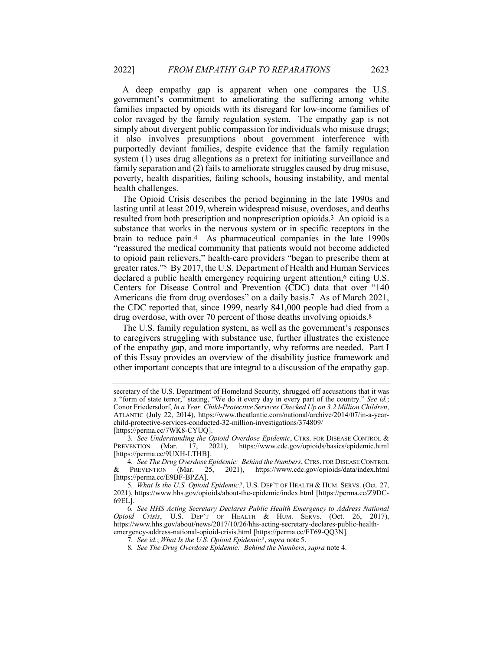A deep empathy gap is apparent when one compares the U.S. government's commitment to ameliorating the suffering among white families impacted by opioids with its disregard for low-income families of color ravaged by the family regulation system. The empathy gap is not simply about divergent public compassion for individuals who misuse drugs; it also involves presumptions about government interference with purportedly deviant families, despite evidence that the family regulation system (1) uses drug allegations as a pretext for initiating surveillance and family separation and (2) fails to ameliorate struggles caused by drug misuse, poverty, health disparities, failing schools, housing instability, and mental health challenges.

The Opioid Crisis describes the period beginning in the late 1990s and lasting until at least 2019, wherein widespread misuse, overdoses, and deaths resulted from both prescription and nonprescription opioids.3 An opioid is a substance that works in the nervous system or in specific receptors in the brain to reduce pain.4 As pharmaceutical companies in the late 1990s "reassured the medical community that patients would not become addicted to opioid pain relievers," health-care providers "began to prescribe them at greater rates."5 By 2017, the U.S. Department of Health and Human Services declared a public health emergency requiring urgent attention,6 citing U.S. Centers for Disease Control and Prevention (CDC) data that over "140 Americans die from drug overdoses" on a daily basis.7 As of March 2021, the CDC reported that, since 1999, nearly 841,000 people had died from a drug overdose, with over 70 percent of those deaths involving opioids.8

The U.S. family regulation system, as well as the government's responses to caregivers struggling with substance use, further illustrates the existence of the empathy gap, and more importantly, why reforms are needed. Part I of this Essay provides an overview of the disability justice framework and other important concepts that are integral to a discussion of the empathy gap.

secretary of the U.S. Department of Homeland Security, shrugged off accusations that it was a "form of state terror," stating, "We do it every day in every part of the country." *See id.*; Conor Friedersdorf, *In a Year, Child-Protective Services Checked Up on 3.2 Million Children*, ATLANTIC (July 22, 2014), https://www.theatlantic.com/national/archive/2014/07/in-a-yearchild-protective-services-conducted-32-million-investigations/374809/ [https://perma.cc/7WK8-CYUQ].

<sup>3</sup>*. See Understanding the Opioid Overdose Epidemic*, CTRS. FOR DISEASE CONTROL & PREVENTION (Mar. 17, 2021), https://www.cdc.gov/opioids/basics/epidemic.html [https://perma.cc/9UXH-LTHB].

<sup>4</sup>*. See The Drug Overdose Epidemic: Behind the Numbers*, CTRS. FOR DISEASE CONTROL & PREVENTION (Mar. 25, 2021), https://www.cdc.gov/opioids/data/index.html [https://perma.cc/E9BF-BPZA].

<sup>5</sup>*. What Is the U.S. Opioid Epidemic?*, U.S. DEP'T OF HEALTH & HUM. SERVS. (Oct. 27, 2021), https://www.hhs.gov/opioids/about-the-epidemic/index.html [https://perma.cc/Z9DC-69EL].

<sup>6</sup>*. See HHS Acting Secretary Declares Public Health Emergency to Address National Opioid Crisis*, U.S. DEP'T OF HEALTH & HUM. SERVS. (Oct. 26, 2017), https://www.hhs.gov/about/news/2017/10/26/hhs-acting-secretary-declares-public-healthemergency-address-national-opioid-crisis.html [https://perma.cc/FT69-QQ3N]*.*

<sup>7</sup>*. See id.*; *What Is the U.S. Opioid Epidemic?*,*supra* note 5.

<sup>8</sup>*. See The Drug Overdose Epidemic: Behind the Numbers*, *supra* note 4.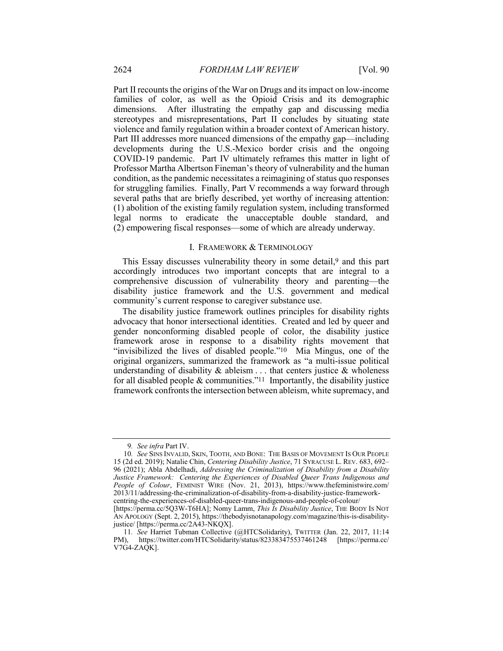Part II recounts the origins of the War on Drugs and its impact on low-income families of color, as well as the Opioid Crisis and its demographic dimensions. After illustrating the empathy gap and discussing media stereotypes and misrepresentations, Part II concludes by situating state violence and family regulation within a broader context of American history. Part III addresses more nuanced dimensions of the empathy gap—including developments during the U.S.-Mexico border crisis and the ongoing COVID-19 pandemic. Part IV ultimately reframes this matter in light of Professor Martha Albertson Fineman's theory of vulnerability and the human condition, as the pandemic necessitates a reimagining of status quo responses for struggling families. Finally, Part V recommends a way forward through several paths that are briefly described, yet worthy of increasing attention: (1) abolition of the existing family regulation system, including transformed legal norms to eradicate the unacceptable double standard, and (2) empowering fiscal responses—some of which are already underway.

#### I. FRAMEWORK & TERMINOLOGY

This Essay discusses vulnerability theory in some detail,<sup>9</sup> and this part accordingly introduces two important concepts that are integral to a comprehensive discussion of vulnerability theory and parenting—the disability justice framework and the U.S. government and medical community's current response to caregiver substance use.

The disability justice framework outlines principles for disability rights advocacy that honor intersectional identities. Created and led by queer and gender nonconforming disabled people of color, the disability justice framework arose in response to a disability rights movement that "invisibilized the lives of disabled people."10 Mia Mingus, one of the original organizers, summarized the framework as "a multi-issue political understanding of disability  $\&$  ableism  $\dots$  that centers justice  $\&$  wholeness for all disabled people  $&$  communities."<sup>11</sup> Importantly, the disability justice framework confronts the intersection between ableism, white supremacy, and

<sup>9</sup>*. See infra* Part IV.

<sup>10</sup>*. See* SINS INVALID, SKIN, TOOTH, AND BONE: THE BASIS OF MOVEMENT IS OUR PEOPLE 15 (2d ed. 2019); Natalie Chin, *Centering Disability Justice*, 71 SYRACUSE L. REV. 683, 692– 96 (2021); Abla Abdelhadi, *Addressing the Criminalization of Disability from a Disability Justice Framework: Centering the Experiences of Disabled Queer Trans Indigenous and People of Colour*, FEMINIST WIRE (Nov. 21, 2013), https://www.thefeministwire.com/ 2013/11/addressing-the-criminalization-of-disability-from-a-disability-justice-frameworkcentring-the-experiences-of-disabled-queer-trans-indigenous-and-people-of-colour/

<sup>[</sup>https://perma.cc/5Q3W-T6HA]; Nomy Lamm, *This Is Disability Justice*, THE BODY IS NOT AN APOLOGY (Sept. 2, 2015), https://thebodyisnotanapology.com/magazine/this-is-disabilityjustice/ [https://perma.cc/2A43-NKQX].

<sup>11</sup>*. See* Harriet Tubman Collective (@HTCSolidarity), TWITTER (Jan. 22, 2017, 11:14 PM), https://twitter.com/HTCSolidarity/status/823383475537461248 [https://perma.cc/ V7G4-ZAQK].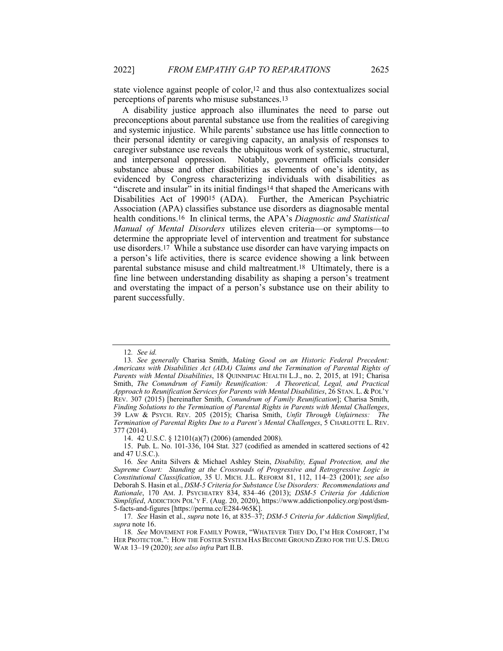state violence against people of color,12 and thus also contextualizes social perceptions of parents who misuse substances.13

A disability justice approach also illuminates the need to parse out preconceptions about parental substance use from the realities of caregiving and systemic injustice. While parents' substance use has little connection to their personal identity or caregiving capacity, an analysis of responses to caregiver substance use reveals the ubiquitous work of systemic, structural, and interpersonal oppression. Notably, government officials consider substance abuse and other disabilities as elements of one's identity, as evidenced by Congress characterizing individuals with disabilities as "discrete and insular" in its initial findings14 that shaped the Americans with Disabilities Act of 199015 (ADA). Further, the American Psychiatric Association (APA) classifies substance use disorders as diagnosable mental health conditions.16 In clinical terms, the APA's *Diagnostic and Statistical Manual of Mental Disorders* utilizes eleven criteria—or symptoms—to determine the appropriate level of intervention and treatment for substance use disorders.17 While a substance use disorder can have varying impacts on a person's life activities, there is scarce evidence showing a link between parental substance misuse and child maltreatment.18 Ultimately, there is a fine line between understanding disability as shaping a person's treatment and overstating the impact of a person's substance use on their ability to parent successfully.

<sup>12</sup>*. See id.*

<sup>13</sup>*. See generally* Charisa Smith, *Making Good on an Historic Federal Precedent: Americans with Disabilities Act (ADA) Claims and the Termination of Parental Rights of Parents with Mental Disabilities*, 18 QUINNIPIAC HEALTH L.J., no. 2, 2015, at 191; Charisa Smith, *The Conundrum of Family Reunification: A Theoretical, Legal, and Practical Approach to Reunification Services for Parents with Mental Disabilities*, 26 STAN. L. &POL'Y REV. 307 (2015) [hereinafter Smith, *Conundrum of Family Reunification*]; Charisa Smith, *Finding Solutions to the Termination of Parental Rights in Parents with Mental Challenges*, 39 LAW & PSYCH. REV. 205 (2015); Charisa Smith, *Unfit Through Unfairness: The Termination of Parental Rights Due to a Parent's Mental Challenges*, 5 CHARLOTTE L. REV. 377 (2014).

<sup>14.</sup> 42 U.S.C. § 12101(a)(7) (2006) (amended 2008).

<sup>15.</sup> Pub. L. No. 101-336, 104 Stat. 327 (codified as amended in scattered sections of 42 and 47 U.S.C.).

<sup>16</sup>*. See* Anita Silvers & Michael Ashley Stein, *Disability, Equal Protection, and the Supreme Court: Standing at the Crossroads of Progressive and Retrogressive Logic in Constitutional Classification*, 35 U. MICH. J.L. REFORM 81, 112, 114–23 (2001); *see also* Deborah S. Hasin et al., *DSM-5 Criteria for Substance Use Disorders: Recommendations and Rationale*, 170 AM. J. PSYCHIATRY 834, 834–46 (2013); *DSM-5 Criteria for Addiction Simplified*, ADDICTION POL'Y F. (Aug. 20, 2020), https://www.addictionpolicy.org/post/dsm-5-facts-and-figures [https://perma.cc/E284-965K].

<sup>17</sup>*. See* Hasin et al., *supra* note 16, at 835–37; *DSM-5 Criteria for Addiction Simplified*, *supra* note 16.

<sup>18</sup>*. See* MOVEMENT FOR FAMILY POWER, "WHATEVER THEY DO, I'M HER COMFORT, I'M HER PROTECTOR.": HOW THE FOSTER SYSTEM HAS BECOME GROUND ZERO FOR THE U.S. DRUG WAR 13–19 (2020); *see also infra* Part II.B.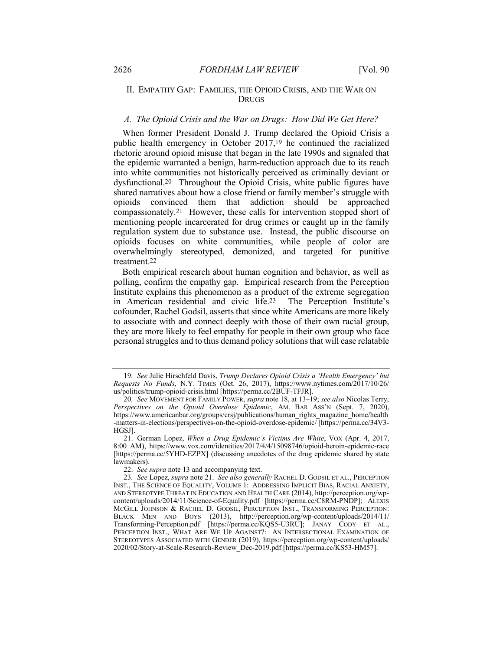# II. EMPATHY GAP: FAMILIES, THE OPIOID CRISIS, AND THE WAR ON DRUGS

#### *A. The Opioid Crisis and the War on Drugs: How Did We Get Here?*

When former President Donald J. Trump declared the Opioid Crisis a public health emergency in October 2017,19 he continued the racialized rhetoric around opioid misuse that began in the late 1990s and signaled that the epidemic warranted a benign, harm-reduction approach due to its reach into white communities not historically perceived as criminally deviant or dysfunctional.20 Throughout the Opioid Crisis, white public figures have shared narratives about how a close friend or family member's struggle with opioids convinced them that addiction should be approached compassionately.21 However, these calls for intervention stopped short of mentioning people incarcerated for drug crimes or caught up in the family regulation system due to substance use. Instead, the public discourse on opioids focuses on white communities, while people of color are overwhelmingly stereotyped, demonized, and targeted for punitive treatment.22

Both empirical research about human cognition and behavior, as well as polling, confirm the empathy gap. Empirical research from the Perception Institute explains this phenomenon as a product of the extreme segregation in American residential and civic life.23 The Perception Institute's cofounder, Rachel Godsil, asserts that since white Americans are more likely to associate with and connect deeply with those of their own racial group, they are more likely to feel empathy for people in their own group who face personal struggles and to thus demand policy solutions that will ease relatable

<sup>19</sup>*. See* Julie Hirschfeld Davis, *Trump Declares Opioid Crisis a 'Health Emergency' but Requests No Funds*, N.Y. TIMES (Oct. 26, 2017), https://www.nytimes.com/2017/10/26/ us/politics/trump-opioid-crisis.html [https://perma.cc/2BUF-TFJR].

<sup>20</sup>*. See* MOVEMENT FOR FAMILY POWER, *supra* note 18, at 13–19; *see also* Nicolas Terry, *Perspectives on the Opioid Overdose Epidemic*, AM. BAR ASS'N (Sept. 7, 2020), https://www.americanbar.org/groups/crsj/publications/human\_rights\_magazine\_home/health -matters-in-elections/perspectives-on-the-opioid-overdose-epidemic/ [https://perma.cc/34V3- HGSJ].

<sup>21.</sup> German Lopez, *When a Drug Epidemic's Victims Are White*, VOX (Apr. 4, 2017, 8:00 AM), https://www.vox.com/identities/2017/4/4/15098746/opioid-heroin-epidemic-race [https://perma.cc/5YHD-EZPX] (discussing anecdotes of the drug epidemic shared by state lawmakers).

<sup>22.</sup> *See supra* note 13 and accompanying text.

<sup>23</sup>*. See* Lopez, *supra* note 21. *See also generally* RACHEL D. GODSIL ET AL., PERCEPTION INST., THE SCIENCE OF EQUALITY, VOLUME 1: ADDRESSING IMPLICIT BIAS, RACIAL ANXIETY, AND STEREOTYPE THREAT IN EDUCATION AND HEALTH CARE (2014), http://perception.org/wpcontent/uploads/2014/11/Science-of-Equality.pdf [https://perma.cc/C8RM-PNDP]; ALEXIS MCGILL JOHNSON & RACHEL D. GODSIL, PERCEPTION INST., TRANSFORMING PERCEPTION: BLACK MEN AND BOYS (2013), http://perception.org/wp-content/uploads/2014/11/ Transforming-Perception.pdf [https://perma.cc/KQS5-U3RU]; JANAY CODY ET AL., PERCEPTION INST., WHAT ARE WE UP AGAINST?: AN INTERSECTIONAL EXAMINATION OF STEREOTYPES ASSOCIATED WITH GENDER (2019), https://perception.org/wp-content/uploads/ 2020/02/Story-at-Scale-Research-Review\_Dec-2019.pdf [https://perma.cc/KS53-HM57].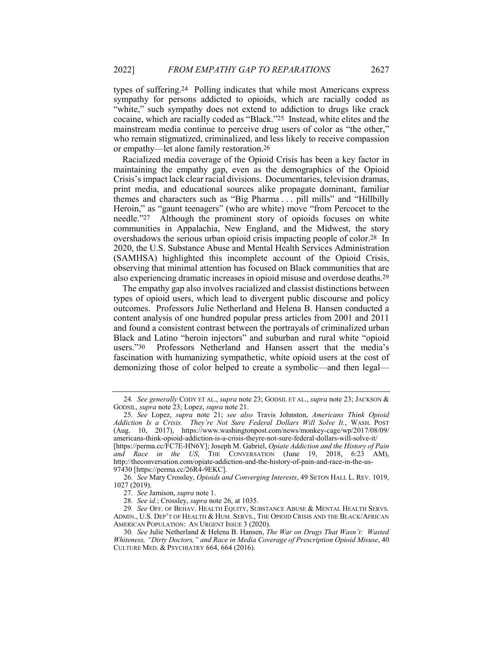types of suffering.24 Polling indicates that while most Americans express sympathy for persons addicted to opioids, which are racially coded as "white," such sympathy does not extend to addiction to drugs like crack cocaine, which are racially coded as "Black."25 Instead, white elites and the mainstream media continue to perceive drug users of color as "the other," who remain stigmatized, criminalized, and less likely to receive compassion or empathy—let alone family restoration.26

Racialized media coverage of the Opioid Crisis has been a key factor in maintaining the empathy gap, even as the demographics of the Opioid Crisis's impact lack clear racial divisions. Documentaries, television dramas, print media, and educational sources alike propagate dominant, familiar themes and characters such as "Big Pharma . . . pill mills" and "Hillbilly Heroin," as "gaunt teenagers" (who are white) move "from Percocet to the needle."27 Although the prominent story of opioids focuses on white communities in Appalachia, New England, and the Midwest, the story overshadows the serious urban opioid crisis impacting people of color.28 In 2020, the U.S. Substance Abuse and Mental Health Services Administration (SAMHSA) highlighted this incomplete account of the Opioid Crisis, observing that minimal attention has focused on Black communities that are also experiencing dramatic increases in opioid misuse and overdose deaths.29

The empathy gap also involves racialized and classist distinctions between types of opioid users, which lead to divergent public discourse and policy outcomes. Professors Julie Netherland and Helena B. Hansen conducted a content analysis of one hundred popular press articles from 2001 and 2011 and found a consistent contrast between the portrayals of criminalized urban Black and Latino "heroin injectors" and suburban and rural white "opioid users."<sup>30</sup> Professors Netherland and Hansen assert that the media's Professors Netherland and Hansen assert that the media's fascination with humanizing sympathetic, white opioid users at the cost of demonizing those of color helped to create a symbolic—and then legal—

<sup>24</sup>*. See generally* CODY ET AL., *supra* note 23; GODSIL ET AL., *supra* note 23; JACKSON & GODSIL, *supra* note 23; Lopez, *supra* note 21.

<sup>25</sup>*. See* Lopez, *supra* note 21; *see also* Travis Johnston, *Americans Think Opioid Addiction Is a Crisis. They're Not Sure Federal Dollars Will Solve It.*, WASH. POST (Aug. 10, 2017), https://www.washingtonpost.com/news/monkey-cage/wp/2017/08/09/ americans-think-opioid-addiction-is-a-crisis-theyre-not-sure-federal-dollars-will-solve-it/ [https://perma.cc/FC7E-HN6Y]; Joseph M. Gabriel, *Opiate Addiction and the History of Pain and Race in the US*, THE CONVERSATION (June 19, 2018, 6:23 AM), http://theconversation.com/opiate-addiction-and-the-history-of-pain-and-race-in-the-us-97430 [https://perma.cc/26R4-9EKC].

<sup>26</sup>*. See* Mary Crossley, *Opioids and Converging Interests*, 49 SETON HALL L. REV. 1019, 1027 (2019).

<sup>27</sup>*. See* Jamison, *supra* note 1.

<sup>28</sup>*. See id.*; Crossley, *supra* note 26, at 1035.

<sup>29</sup>*. See* OFF. OF BEHAV. HEALTH EQUITY, SUBSTANCE ABUSE & MENTAL HEALTH SERVS. ADMIN., U.S. DEP'T OF HEALTH & HUM. SERVS., THE OPIOID CRISIS AND THE BLACK/AFRICAN AMERICAN POPULATION: AN URGENT ISSUE 3 (2020).

<sup>30</sup>*. See* Julie Netherland & Helena B. Hansen, *The War on Drugs That Wasn't: Wasted Whiteness, "Dirty Doctors," and Race in Media Coverage of Prescription Opioid Misuse*, 40 CULTURE MED. & PSYCHIATRY 664, 664 (2016).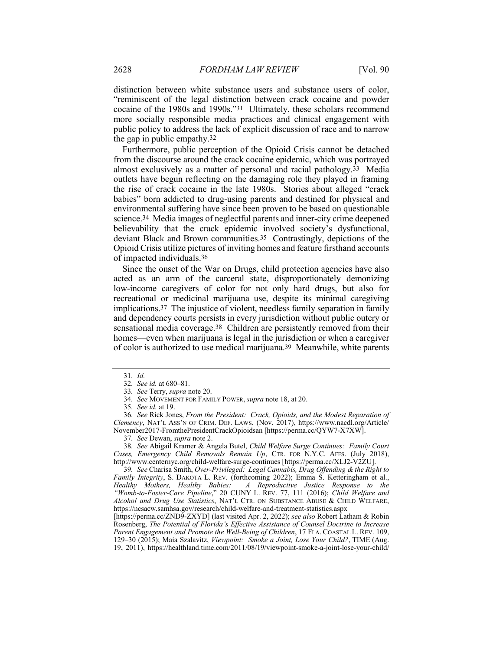distinction between white substance users and substance users of color, "reminiscent of the legal distinction between crack cocaine and powder cocaine of the 1980s and 1990s."31 Ultimately, these scholars recommend more socially responsible media practices and clinical engagement with public policy to address the lack of explicit discussion of race and to narrow the gap in public empathy.32

Furthermore, public perception of the Opioid Crisis cannot be detached from the discourse around the crack cocaine epidemic, which was portrayed almost exclusively as a matter of personal and racial pathology.33 Media outlets have begun reflecting on the damaging role they played in framing the rise of crack cocaine in the late 1980s. Stories about alleged "crack babies" born addicted to drug-using parents and destined for physical and environmental suffering have since been proven to be based on questionable science.34 Media images of neglectful parents and inner-city crime deepened believability that the crack epidemic involved society's dysfunctional, deviant Black and Brown communities.35 Contrastingly, depictions of the Opioid Crisis utilize pictures of inviting homes and feature firsthand accounts of impacted individuals.36

Since the onset of the War on Drugs, child protection agencies have also acted as an arm of the carceral state, disproportionately demonizing low-income caregivers of color for not only hard drugs, but also for recreational or medicinal marijuana use, despite its minimal caregiving implications.37 The injustice of violent, needless family separation in family and dependency courts persists in every jurisdiction without public outcry or sensational media coverage.38 Children are persistently removed from their homes—even when marijuana is legal in the jurisdiction or when a caregiver of color is authorized to use medical marijuana.39 Meanwhile, white parents

38*. See* Abigail Kramer & Angela Butel, *Child Welfare Surge Continues: Family Court Cases, Emergency Child Removals Remain Up*, CTR. FOR N.Y.C. AFFS. (July 2018), http://www.centernyc.org/child-welfare-surge-continues [https://perma.cc/XLJ2-V2ZU].

39*. See* Charisa Smith, *Over-Privileged: Legal Cannabis, Drug Offending & the Right to Family Integrity*, S. DAKOTA L. REV. (forthcoming 2022); Emma S. Ketteringham et al., *Healthy Mothers, Healthy Babies: A Reproductive Justice Response to the Healthy Mothers, Healthy Babies: A Reproductive Justice Response to the "Womb-to-Foster-Care Pipeline*," 20 CUNY L. REV. 77, 111 (2016); *Child Welfare and Alcohol and Drug Use Statistics*, NAT'L CTR. ON SUBSTANCE ABUSE & CHILD WELFARE, https://ncsacw.samhsa.gov/research/child-welfare-and-treatment-statistics.aspx

[https://perma.cc/ZND9-ZXYD] (last visited Apr. 2, 2022); *see also* Robert Latham & Robin Rosenberg, *The Potential of Florida's Effective Assistance of Counsel Doctrine to Increase Parent Engagement and Promote the Well-Being of Children*, 17 FLA. COASTAL L. REV. 109, 129–30 (2015); Maia Szalavitz, *Viewpoint: Smoke a Joint, Lose Your Child?*, TIME (Aug. 19, 2011), https://healthland.time.com/2011/08/19/viewpoint-smoke-a-joint-lose-your-child/

<sup>31</sup>*. Id.*

<sup>32</sup>*. See id.* at 680–81.

<sup>33</sup>*. See* Terry, *supra* note 20.

<sup>34</sup>*. See* MOVEMENT FOR FAMILY POWER, *supra* note 18, at 20.

<sup>35</sup>*. See id.* at 19.

<sup>36</sup>*. See* Rick Jones, *From the President: Crack, Opioids, and the Modest Reparation of Clemency*, NAT'L ASS'N OF CRIM. DEF. LAWS. (Nov. 2017), https://www.nacdl.org/Article/ November2017-FromthePresidentCrackOpioidsan [https://perma.cc/QYW7-X7XW].

<sup>37</sup>*. See* Dewan, *supra* note 2.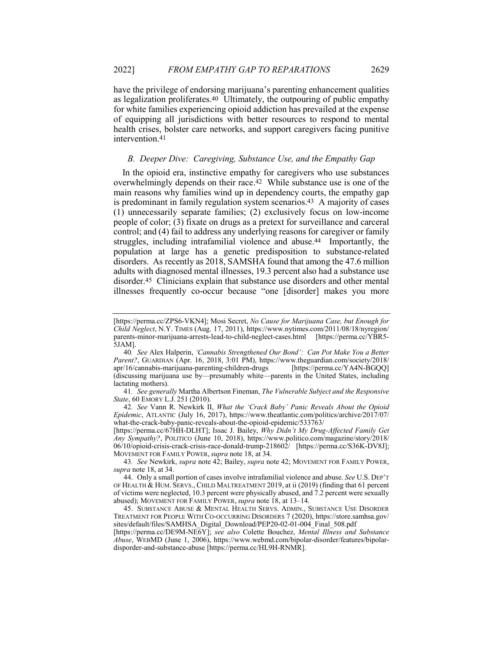have the privilege of endorsing marijuana's parenting enhancement qualities as legalization proliferates.40 Ultimately, the outpouring of public empathy for white families experiencing opioid addiction has prevailed at the expense of equipping all jurisdictions with better resources to respond to mental health crises, bolster care networks, and support caregivers facing punitive intervention.41

### *B. Deeper Dive: Caregiving, Substance Use, and the Empathy Gap*

In the opioid era, instinctive empathy for caregivers who use substances overwhelmingly depends on their race.42 While substance use is one of the main reasons why families wind up in dependency courts, the empathy gap is predominant in family regulation system scenarios.43 A majority of cases (1) unnecessarily separate families; (2) exclusively focus on low-income people of color; (3) fixate on drugs as a pretext for surveillance and carceral control; and (4) fail to address any underlying reasons for caregiver or family struggles, including intrafamilial violence and abuse.44 Importantly, the population at large has a genetic predisposition to substance-related disorders. As recently as 2018, SAMSHA found that among the 47.6 million adults with diagnosed mental illnesses, 19.3 percent also had a substance use disorder.45 Clinicians explain that substance use disorders and other mental illnesses frequently co-occur because "one [disorder] makes you more

41*. See generally* Martha Albertson Fineman, *The Vulnerable Subject and the Responsive State*, 60 EMORY L.J. 251 (2010).

42*. See* Vann R. Newkirk II, *What the 'Crack Baby' Panic Reveals About the Opioid Epidemic*, ATLANTIC (July 16, 2017), https://www.theatlantic.com/politics/archive/2017/07/ what-the-crack-baby-panic-reveals-about-the-opioid-epidemic/533763/

[https://perma.cc/67HH-DLHT]; Issac J. Bailey, *Why Didn't My Drug-Affected Family Get Any Sympathy?*, POLITICO (June 10, 2018), https://www.politico.com/magazine/story/2018/ 06/10/opioid-crisis-crack-crisis-race-donald-trump-218602/ [https://perma.cc/S36K-DV8J]; MOVEMENT FOR FAMILY POWER, *supra* note 18, at 34.

43*. See* Newkirk, *supra* note 42; Bailey, *supra* note 42; MOVEMENT FOR FAMILY POWER, *supra* note 18, at 34.

44. Only a small portion of cases involve intrafamilial violence and abuse. *See* U.S. DEP'T OF HEALTH & HUM. SERVS., CHILD MALTREATMENT 2019, at ii (2019) (finding that 61 percent of victims were neglected, 10.3 percent were physically abused, and 7.2 percent were sexually abused); MOVEMENT FOR FAMILY POWER, *supra* note 18, at 13–14.

45. SUBSTANCE ABUSE & MENTAL HEALTH SERVS. ADMIN., SUBSTANCE USE DISORDER TREATMENT FOR PEOPLE WITH CO-OCCURRING DISORDERS 7 (2020), https://store.samhsa.gov/ sites/default/files/SAMHSA\_Digital\_Download/PEP20-02-01-004\_Final\_508.pdf

[https://perma.cc/DE9M-NE6Y]; *see also* Colette Bouchez, *Mental Illness and Substance Abuse*, WEBMD (June 1, 2006), https://www.webmd.com/bipolar-disorder/features/bipolardisporder-and-substance-abuse [https://perma.cc/HL9H-RNMR].

<sup>[</sup>https://perma.cc/ZPS6-VKN4]; Mosi Secret, *No Cause for Marijuana Case, but Enough for Child Neglect*, N.Y. TIMES (Aug. 17, 2011), https://www.nytimes.com/2011/08/18/nyregion/ parents-minor-marijuana-arrests-lead-to-child-neglect-cases.html [https://perma.cc/YBR5- 5JAM].

<sup>40</sup>*. See* Alex Halperin, *'Cannabis Strengthened Our Bond': Can Pot Make You a Better Parent?*, GUARDIAN (Apr. 16, 2018, 3:01 PM), https://www.theguardian.com/society/2018/ apr/16/cannabis-marijuana-parenting-children-drugs [https://perma.cc/YA4N-BGQQ] (discussing marijuana use by—presumably white—parents in the United States, including lactating mothers).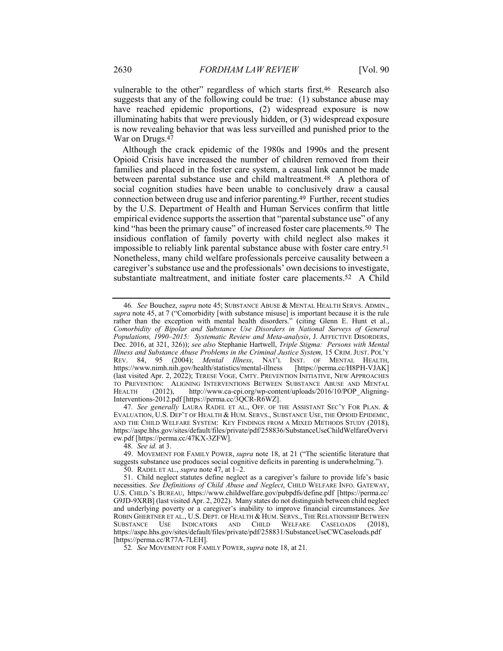vulnerable to the other" regardless of which starts first.<sup>46</sup> Research also suggests that any of the following could be true: (1) substance abuse may have reached epidemic proportions, (2) widespread exposure is now illuminating habits that were previously hidden, or (3) widespread exposure is now revealing behavior that was less surveilled and punished prior to the War on Drugs.47

Although the crack epidemic of the 1980s and 1990s and the present Opioid Crisis have increased the number of children removed from their families and placed in the foster care system, a causal link cannot be made between parental substance use and child maltreatment.48 A plethora of social cognition studies have been unable to conclusively draw a causal connection between drug use and inferior parenting.49 Further, recent studies by the U.S. Department of Health and Human Services confirm that little empirical evidence supports the assertion that "parental substance use" of any kind "has been the primary cause" of increased foster care placements.50 The insidious conflation of family poverty with child neglect also makes it impossible to reliably link parental substance abuse with foster care entry.51 Nonetheless, many child welfare professionals perceive causality between a caregiver's substance use and the professionals' own decisions to investigate, substantiate maltreatment, and initiate foster care placements.52 A Child

47*. See generally* LAURA RADEL ET AL., OFF. OF THE ASSISTANT SEC'Y FOR PLAN. & EVALUATION, U.S. DEP'T OF HEALTH & HUM. SERVS., SUBSTANCE USE, THE OPIOID EPIDEMIC, AND THE CHILD WELFARE SYSTEM: KEY FINDINGS FROM A MIXED METHODS STUDY (2018), https://aspe.hhs.gov/sites/default/files/private/pdf/258836/SubstanceUseChildWelfareOvervi ew.pdf [https://perma.cc/47KX-3ZFW].

52*. See* MOVEMENT FOR FAMILY POWER, *supra* note 18, at 21.

<sup>46</sup>*. See* Bouchez, *supra* note 45; SUBSTANCE ABUSE & MENTAL HEALTH SERVS. ADMIN., *supra* note 45, at 7 ("Comorbidity [with substance misuse] is important because it is the rule rather than the exception with mental health disorders." (citing Glenn E. Hunt et al., *Comorbidity of Bipolar and Substance Use Disorders in National Surveys of General Populations, 1990–2015: Systematic Review and Meta-analysis*, J. AFFECTIVE DISORDERS, Dec. 2016, at 321, 326)); *see also* Stephanie Hartwell, *Triple Stigma: Persons with Mental Illness and Substance Abuse Problems in the Criminal Justice System,* 15 CRIM. JUST. POL'Y REV. 84, 95 (2004); *Mental Illness*, NAT'L INST. OF MENTAL HEALTH, https://www.nimh.nih.gov/health/statistics/mental-illness (last visited Apr. 2, 2022); TERESE VOGE*,* CMTY. PREVENTION INITIATIVE, NEW APPROACHES TO PREVENTION: ALIGNING INTERVENTIONS BETWEEN SUBSTANCE ABUSE AND MENTAL HEALTH (2012), http://www.ca-cpi.org/wp-content/uploads/2016/10/POP Aligning-HEALTH (2012), http://www.ca-cpi.org/wp-content/uploads/2016/10/POP\_Aligning-Interventions-2012.pdf [https://perma.cc/3QCR-R6WZ].

<sup>48</sup>*. See id.* at 3.

<sup>49.</sup> MOVEMENT FOR FAMILY POWER, *supra* note 18, at 21 ("The scientific literature that suggests substance use produces social cognitive deficits in parenting is underwhelming.").

<sup>50.</sup> RADEL ET AL., *supra* note 47, at 1–2.

<sup>51.</sup> Child neglect statutes define neglect as a caregiver's failure to provide life's basic necessities. *See Definitions of Child Abuse and Neglect*, CHILD WELFARE INFO. GATEWAY, U.S. CHILD.'S BUREAU, https://www.childwelfare.gov/pubpdfs/define.pdf [https://perma.cc/ G9JD-9XRB] (last visited Apr. 2, 2022). Many states do not distinguish between child neglect and underlying poverty or a caregiver's inability to improve financial circumstances. *See* ROBIN GHERTNER ET AL., U.S. DEPT. OF HEALTH & HUM. SERVS., THE RELATIONSHIP BETWEEN SUBSTANCE USE INDICATORS AND CHILD WELFARE CASELOADS (2018), https://aspe.hhs.gov/sites/default/files/private/pdf/258831/SubstanceUseCWCaseloads.pdf [https://perma.cc/R77A-7LEH].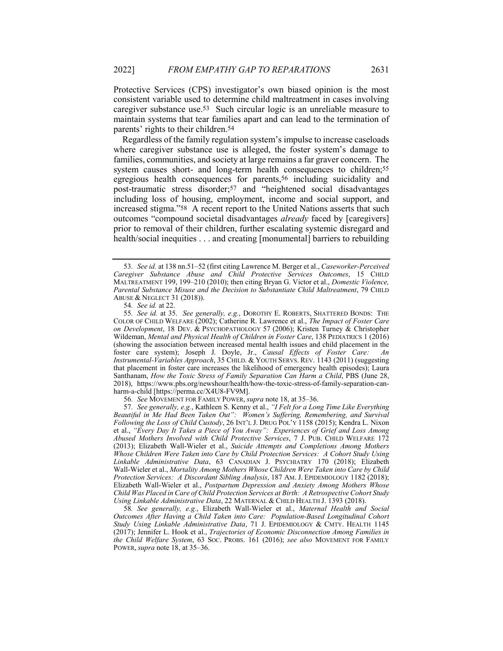Protective Services (CPS) investigator's own biased opinion is the most consistent variable used to determine child maltreatment in cases involving caregiver substance use.53 Such circular logic is an unreliable measure to maintain systems that tear families apart and can lead to the termination of parents' rights to their children.54

Regardless of the family regulation system's impulse to increase caseloads where caregiver substance use is alleged, the foster system's damage to families, communities, and society at large remains a far graver concern. The system causes short- and long-term health consequences to children;<sup>55</sup> egregious health consequences for parents,56 including suicidality and post-traumatic stress disorder;57 and "heightened social disadvantages including loss of housing, employment, income and social support, and increased stigma."58 A recent report to the United Nations asserts that such outcomes "compound societal disadvantages *already* faced by [caregivers] prior to removal of their children, further escalating systemic disregard and health/social inequities . . . and creating [monumental] barriers to rebuilding

54*. See id.* at 22.

56*. See* MOVEMENT FOR FAMILY POWER, *supra* note 18, at 35–36.

57*. See generally, e.g.*, Kathleen S. Kenny et al., *"I Felt for a Long Time Like Everything Beautiful in Me Had Been Taken Out": Women's Suffering, Remembering, and Survival Following the Loss of Child Custody*, 26 INT'L J. DRUG POL'Y 1158 (2015); Kendra L. Nixon et al., *"Every Day It Takes a Piece of You Away": Experiences of Grief and Loss Among Abused Mothers Involved with Child Protective Services*, 7 J. PUB. CHILD WELFARE 172 (2013); Elizabeth Wall-Wieler et al., *Suicide Attempts and Completions Among Mothers Whose Children Were Taken into Care by Child Protection Services: A Cohort Study Using Linkable Administrative Data*, 63 CANADIAN J. PSYCHIATRY 170 (2018); Elizabeth Wall-Wieler et al., *Mortality Among Mothers Whose Children Were Taken into Care by Child Protection Services: A Discordant Sibling Analysis*, 187 AM. J. EPIDEMIOLOGY 1182 (2018); Elizabeth Wall-Wieler et al., *Postpartum Depression and Anxiety Among Mothers Whose Child Was Placed in Care of Child Protection Services at Birth: A Retrospective Cohort Study Using Linkable Administrative Data*, 22 MATERNAL & CHILD HEALTH J. 1393 (2018).

58*. See generally, e.g.*, Elizabeth Wall-Wieler et al., *Maternal Health and Social Outcomes After Having a Child Taken into Care: Population-Based Longitudinal Cohort Study Using Linkable Administrative Data*, 71 J. EPIDEMIOLOGY & CMTY. HEALTH 1145 (2017); Jennifer L. Hook et al., *Trajectories of Economic Disconnection Among Families in the Child Welfare System*, 63 SOC. PROBS. 161 (2016); *see also* MOVEMENT FOR FAMILY POWER, *supra* note 18, at 35–36.

<sup>53</sup>*. See id.* at 138 nn.51–52 (first citing Lawrence M. Berger et al., *Caseworker-Perceived Caregiver Substance Abuse and Child Protective Services Outcomes*, 15 CHILD MALTREATMENT 199, 199–210 (2010); then citing Bryan G. Victor et al., *Domestic Violence, Parental Substance Misuse and the Decision to Substantiate Child Maltreatment*, 79 CHILD ABUSE & NEGLECT 31 (2018)).

<sup>55</sup>*. See id.* at 35. *See generally, e.g.*, DOROTHY E. ROBERTS, SHATTERED BONDS: THE COLOR OF CHILD WELFARE (2002); Catherine R. Lawrence et al., *The Impact of Foster Care on Development*, 18 DEV. & PSYCHOPATHOLOGY 57 (2006); Kristen Turney & Christopher Wildeman, *Mental and Physical Health of Children in Foster Care*, 138 PEDIATRICS 1 (2016) (showing the association between increased mental health issues and child placement in the foster care system); Joseph J. Doyle, Jr., *Causal Effects of Foster Care: An Instrumental-Variables Approach*, 35 CHILD. & YOUTH SERVS. REV. 1143 (2011) (suggesting that placement in foster care increases the likelihood of emergency health episodes); Laura Santhanam, *How the Toxic Stress of Family Separation Can Harm a Child*, PBS (June 28, 2018), https://www.pbs.org/newshour/health/how-the-toxic-stress-of-family-separation-canharm-a-child [https://perma.cc/X4U8-FV9M].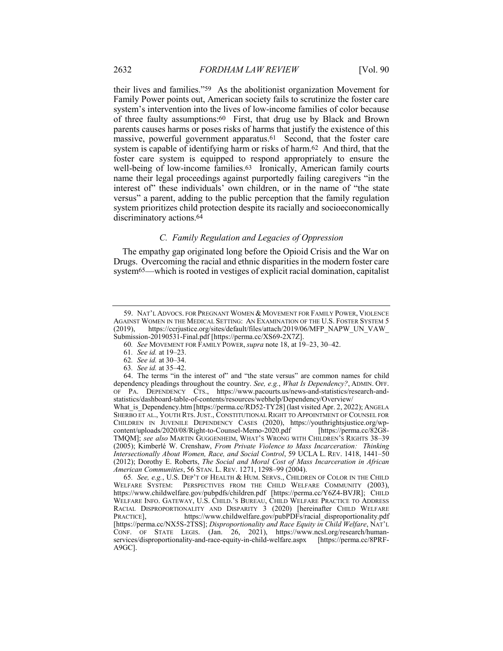their lives and families."59 As the abolitionist organization Movement for Family Power points out, American society fails to scrutinize the foster care system's intervention into the lives of low-income families of color because of three faulty assumptions:60 First, that drug use by Black and Brown parents causes harms or poses risks of harms that justify the existence of this massive, powerful government apparatus.61 Second, that the foster care system is capable of identifying harm or risks of harm.62 And third, that the foster care system is equipped to respond appropriately to ensure the well-being of low-income families.<sup>63</sup> Ironically, American family courts name their legal proceedings against purportedly failing caregivers "in the interest of" these individuals' own children, or in the name of "the state" versus" a parent, adding to the public perception that the family regulation system prioritizes child protection despite its racially and socioeconomically discriminatory actions.64

# *C. Family Regulation and Legacies of Oppression*

The empathy gap originated long before the Opioid Crisis and the War on Drugs. Overcoming the racial and ethnic disparities in the modern foster care system<sup>65</sup>—which is rooted in vestiges of explicit racial domination, capitalist

<sup>59.</sup> NAT'L ADVOCS. FOR PREGNANT WOMEN & MOVEMENT FOR FAMILY POWER, VIOLENCE AGAINST WOMEN IN THE MEDICAL SETTING: AN EXAMINATION OF THE U.S. FOSTER SYSTEM 5 (2019), https://ccrjustice.org/sites/default/files/attach/2019/06/MFP\_NAPW\_UN\_VAW\_ Submission-20190531-Final.pdf [https://perma.cc/XS69-2X7Z].

<sup>60</sup>*. See* MOVEMENT FOR FAMILY POWER, *supra* note 18, at 19–23, 30–42.

<sup>61</sup>*. See id.* at 19–23.

<sup>62</sup>*. See id.* at 30–34.

<sup>63</sup>*. See id.* at 35–42.

<sup>64.</sup> The terms "in the interest of" and "the state versus" are common names for child dependency pleadings throughout the country. *See, e.g.*, *What Is Dependency?*, ADMIN. OFF. OF PA. DEPENDENCY CTS., https://www.pacourts.us/news-and-statistics/research-andstatistics/dashboard-table-of-contents/resources/webhelp/Dependency/Overview/ What\_is\_Dependency.htm [https://perma.cc/RD52-TY28] (last visited Apr. 2, 2022); ANGELA SHERBO ET AL., YOUTH RTS. JUST., CONSTITUTIONAL RIGHT TO APPOINTMENT OF COUNSEL FOR CHILDREN IN JUVENILE DEPENDENCY CASES (2020), https://youthrightsjustice.org/wp-content/uploads/2020/08/Right-to-Counsel-Memo-2020.pdf [https://perma.cc/82G8content/uploads/2020/08/Right-to-Counsel-Memo-2020.pdf TMQM]; *see also* MARTIN GUGGENHEIM, WHAT'S WRONG WITH CHILDREN'S RIGHTS 38–39 (2005); Kimberlé W. Crenshaw, *From Private Violence to Mass Incarceration: Thinking Intersectionally About Women, Race, and Social Control*, 59 UCLA L. REV. 1418, 1441–50 (2012); Dorothy E. Roberts, *The Social and Moral Cost of Mass Incarceration in African American Communities*, 56 STAN. L. REV. 1271, 1298–99 (2004).

<sup>65</sup>*. See, e.g.*, U.S. DEP'T OF HEALTH & HUM. SERVS., CHILDREN OF COLOR IN THE CHILD WELFARE SYSTEM: PERSPECTIVES FROM THE CHILD WELFARE COMMUNITY (2003), https://www.childwelfare.gov/pubpdfs/children.pdf [https://perma.cc/Y6Z4-BVJR]; CHILD WELFARE INFO. GATEWAY, U.S. CHILD.'S BUREAU, CHILD WELFARE PRACTICE TO ADDRESS RACIAL DISPROPORTIONALITY AND DISPARITY 3 (2020) [hereinafter CHILD WELFARE PRACTICE], https://www.childwelfare.gov/pubPDFs/racial\_disproportionality.pdf [https://perma.cc/NX5S-2TSS]; *Disproportionality and Race Equity in Child Welfare*, NAT'L CONF. OF STATE LEGIS. (Jan. 26, 2021), https://www.ncsl.org/research/humanservices/disproportionality-and-race-equity-in-child-welfare.aspx [https://perma.cc/8PRF-A9GC].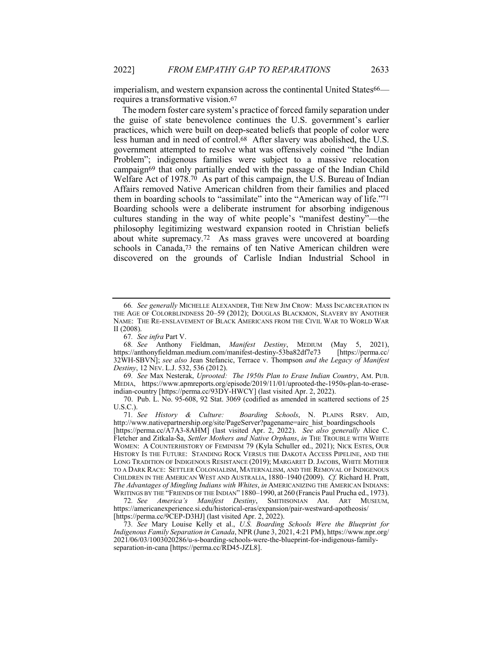imperialism, and western expansion across the continental United States66 requires a transformative vision.67

The modern foster care system's practice of forced family separation under the guise of state benevolence continues the U.S. government's earlier practices, which were built on deep-seated beliefs that people of color were less human and in need of control.68 After slavery was abolished, the U.S. government attempted to resolve what was offensively coined "the Indian Problem"; indigenous families were subject to a massive relocation campaign69 that only partially ended with the passage of the Indian Child Welfare Act of 1978.70 As part of this campaign, the U.S. Bureau of Indian Affairs removed Native American children from their families and placed them in boarding schools to "assimilate" into the "American way of life."71 Boarding schools were a deliberate instrument for absorbing indigenous cultures standing in the way of white people's "manifest destiny"—the philosophy legitimizing westward expansion rooted in Christian beliefs about white supremacy.72 As mass graves were uncovered at boarding schools in Canada,73 the remains of ten Native American children were discovered on the grounds of Carlisle Indian Industrial School in

69*. See* Max Nesterak, *Uprooted: The 1950s Plan to Erase Indian Country*, AM. PUB. MEDIA, https://www.apmreports.org/episode/2019/11/01/uprooted-the-1950s-plan-to-eraseindian-country [https://perma.cc/93DY-HWCY] (last visited Apr. 2, 2022).

[https://perma.cc/A7A3-8AHM] (last visited Apr. 2, 2022). *See also generally* Alice C. Fletcher and Zitkala-Ša, *Settler Mothers and Native Orphans*, *in* THE TROUBLE WITH WHITE WOMEN: A COUNTERHISTORY OF FEMINISM 79 (Kyla Schuller ed., 2021); NICK ESTES, OUR HISTORY IS THE FUTURE: STANDING ROCK VERSUS THE DAKOTA ACCESS PIPELINE, AND THE LONG TRADITION OF INDIGENOUS RESISTANCE (2019); MARGARET D. JACOBS, WHITE MOTHER TO A DARK RACE: SETTLER COLONIALISM, MATERNALISM, AND THE REMOVAL OF INDIGENOUS CHILDREN IN THE AMERICAN WEST AND AUSTRALIA, 1880–1940 (2009). *Cf.* Richard H. Pratt, *The Advantages of Mingling Indians with Whites*, *in* AMERICANIZING THE AMERICAN INDIANS: WRITINGS BY THE "FRIENDS OF THE INDIAN" 1880–1990, at 260 (Francis Paul Prucha ed., 1973).

<sup>66</sup>*. See generally* MICHELLE ALEXANDER, THE NEW JIM CROW: MASS INCARCERATION IN THE AGE OF COLORBLINDNESS 20–59 (2012); DOUGLAS BLACKMON, SLAVERY BY ANOTHER NAME: THE RE-ENSLAVEMENT OF BLACK AMERICANS FROM THE CIVIL WAR TO WORLD WAR II (2008).

<sup>67</sup>*. See infra* Part V.

<sup>68</sup>*. See* Anthony Fieldman, *Manifest Destiny*, MEDIUM (May 5, 2021), https://anthonyfieldman.medium.com/manifest-destiny-53ba82df7e73 [https://perma.cc/ 32WH-SBVN]; *see also* Jean Stefancic, Terrace v. Thompson *and the Legacy of Manifest Destiny*, 12 NEV. L.J. 532, 536 (2012).

<sup>70.</sup> Pub. L. No. 95-608, 92 Stat. 3069 (codified as amended in scattered sections of 25 U.S.C.).<br>71. See History & Culture:

Boarding Schools, N. PLAINS RSRV. AID, http://www.nativepartnership.org/site/PageServer?pagename=airc\_hist\_boardingschools

<sup>72</sup>*. See America's Manifest Destiny*, SMITHSONIAN AM. ART MUSEUM, https://americanexperience.si.edu/historical-eras/expansion/pair-westward-apotheosis/ [https://perma.cc/9CEP-D3HJ] (last visited Apr. 2, 2022).

<sup>73</sup>*. See* Mary Louise Kelly et al., *U.S. Boarding Schools Were the Blueprint for Indigenous Family Separation in Canada*, NPR (June 3, 2021, 4:21 PM), https://www.npr.org/ 2021/06/03/1003020286/u-s-boarding-schools-were-the-blueprint-for-indigenous-familyseparation-in-cana [https://perma.cc/RD45-JZL8].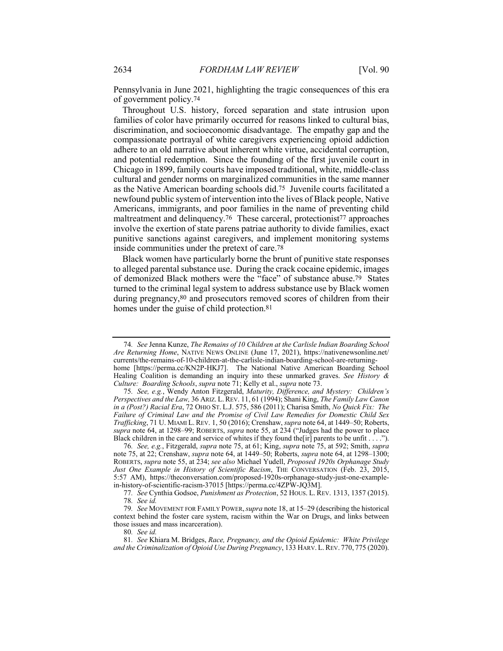Pennsylvania in June 2021, highlighting the tragic consequences of this era of government policy.74

Throughout U.S. history, forced separation and state intrusion upon families of color have primarily occurred for reasons linked to cultural bias, discrimination, and socioeconomic disadvantage. The empathy gap and the compassionate portrayal of white caregivers experiencing opioid addiction adhere to an old narrative about inherent white virtue, accidental corruption, and potential redemption. Since the founding of the first juvenile court in Chicago in 1899, family courts have imposed traditional, white, middle-class cultural and gender norms on marginalized communities in the same manner as the Native American boarding schools did.75 Juvenile courts facilitated a newfound public system of intervention into the lives of Black people, Native Americans, immigrants, and poor families in the name of preventing child maltreatment and delinquency.<sup>76</sup> These carceral, protectionist<sup>77</sup> approaches involve the exertion of state parens patriae authority to divide families, exact punitive sanctions against caregivers, and implement monitoring systems inside communities under the pretext of care.78

Black women have particularly borne the brunt of punitive state responses to alleged parental substance use. During the crack cocaine epidemic, images of demonized Black mothers were the "face" of substance abuse.79 States turned to the criminal legal system to address substance use by Black women during pregnancy,<sup>80</sup> and prosecutors removed scores of children from their homes under the guise of child protection.<sup>81</sup>

<sup>74</sup>*. See* Jenna Kunze, *The Remains of 10 Children at the Carlisle Indian Boarding School Are Returning Home*, NATIVE NEWS ONLINE (June 17, 2021), https://nativenewsonline.net/ currents/the-remains-of-10-children-at-the-carlisle-indian-boarding-school-are-returninghome [https://perma.cc/KN2P-HKJ7]. The National Native American Boarding School Healing Coalition is demanding an inquiry into these unmarked graves. *See History & Culture: Boarding Schools*, *supra* note 71; Kelly et al., *supra* note 73.

<sup>75</sup>*. See, e.g.*, Wendy Anton Fitzgerald, *Maturity, Difference, and Mystery: Children's Perspectives and the Law,* 36 ARIZ. L.REV. 11, 61 (1994); Shani King, *The Family Law Canon in a (Post?) Racial Era*, 72 OHIO ST. L.J. 575, 586 (2011); Charisa Smith, *No Quick Fix: The Failure of Criminal Law and the Promise of Civil Law Remedies for Domestic Child Sex Trafficking*, 71 U. MIAMI L. REV. 1, 50 (2016); Crenshaw, *supra* note 64, at 1449–50; Roberts, *supra* note 64, at 1298–99; ROBERTS, *supra* note 55, at 234 ("Judges had the power to place Black children in the care and service of whites if they found the  $[ir]$  parents to be unfit . . . .").

<sup>76</sup>*. See, e.g.*, Fitzgerald, *supra* note 75, at 61; King, *supra* note 75, at 592; Smith, *supra* note 75, at 22; Crenshaw, *supra* note 64, at 1449–50; Roberts, *supra* note 64, at 1298–1300; ROBERTS, *supra* note 55, at 234; *see also* Michael Yudell, *Proposed 1920s Orphanage Study*  Just One Example in History of Scientific Racism, THE CONVERSATION (Feb. 23, 2015, 5:57 AM), https://theconversation.com/proposed-1920s-orphanage-study-just-one-examplein-history-of-scientific-racism-37015 [https://perma.cc/4ZPW-JQ3M].

<sup>77</sup>*. See* Cynthia Godsoe, *Punishment as Protection*, 52 HOUS. L. REV. 1313, 1357 (2015).

<sup>78</sup>*. See id.*

<sup>79</sup>*. See* MOVEMENT FOR FAMILY POWER,*supra* note 18, at 15–29 (describing the historical context behind the foster care system, racism within the War on Drugs, and links between those issues and mass incarceration).

<sup>80</sup>*. See id.*

<sup>81</sup>*. See* Khiara M. Bridges, *Race, Pregnancy, and the Opioid Epidemic: White Privilege and the Criminalization of Opioid Use During Pregnancy*, 133 HARV. L.REV. 770, 775 (2020).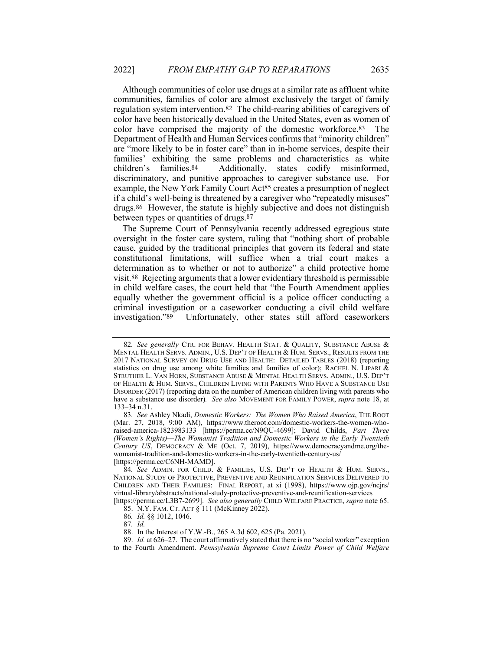Although communities of color use drugs at a similar rate as affluent white communities, families of color are almost exclusively the target of family regulation system intervention.82 The child-rearing abilities of caregivers of color have been historically devalued in the United States, even as women of color have comprised the majority of the domestic workforce.83 The Department of Health and Human Services confirms that "minority children" are "more likely to be in foster care" than in in-home services, despite their families' exhibiting the same problems and characteristics as white children's families.84 Additionally, states codify misinformed, discriminatory, and punitive approaches to caregiver substance use. For example, the New York Family Court Act85 creates a presumption of neglect if a child's well-being is threatened by a caregiver who "repeatedly misuses" drugs.86 However, the statute is highly subjective and does not distinguish between types or quantities of drugs.87

The Supreme Court of Pennsylvania recently addressed egregious state oversight in the foster care system, ruling that "nothing short of probable cause, guided by the traditional principles that govern its federal and state constitutional limitations, will suffice when a trial court makes a determination as to whether or not to authorize" a child protective home visit.88 Rejecting arguments that a lower evidentiary threshold is permissible in child welfare cases, the court held that "the Fourth Amendment applies equally whether the government official is a police officer conducting a criminal investigation or a caseworker conducting a civil child welfare investigation."89 Unfortunately, other states still afford caseworkers

<sup>82</sup>*. See generally* CTR. FOR BEHAV. HEALTH STAT. & QUALITY, SUBSTANCE ABUSE & MENTAL HEALTH SERVS. ADMIN., U.S. DEP'T OF HEALTH & HUM. SERVS., RESULTS FROM THE 2017 NATIONAL SURVEY ON DRUG USE AND HEALTH: DETAILED TABLES (2018) (reporting statistics on drug use among white families and families of color); RACHEL N. LIPARI & STRUTHER L. VAN HORN, SUBSTANCE ABUSE & MENTAL HEALTH SERVS. ADMIN., U.S. DEP'T OF HEALTH & HUM. SERVS., CHILDREN LIVING WITH PARENTS WHO HAVE A SUBSTANCE USE DISORDER (2017) (reporting data on the number of American children living with parents who have a substance use disorder)*. See also* MOVEMENT FOR FAMILY POWER, *supra* note 18, at 133–34 n.31.

<sup>83</sup>*. See* Ashley Nkadi, *Domestic Workers: The Women Who Raised America*, THE ROOT (Mar. 27, 2018, 9:00 AM), https://www.theroot.com/domestic-workers-the-women-whoraised-america-1823983133 [https://perma.cc/N9QU-4699]; David Childs, *Part Three (Women's Rights)—The Womanist Tradition and Domestic Workers in the Early Twentieth Century US*, DEMOCRACY & ME (Oct. 7, 2019), https://www.democracyandme.org/thewomanist-tradition-and-domestic-workers-in-the-early-twentieth-century-us/ [https://perma.cc/C6NH-MAMD].

<sup>84</sup>*. See* ADMIN. FOR CHILD. & FAMILIES, U.S. DEP'T OF HEALTH & HUM. SERVS., NATIONAL STUDY OF PROTECTIVE, PREVENTIVE AND REUNIFICATION SERVICES DELIVERED TO CHILDREN AND THEIR FAMILIES: FINAL REPORT, at xi (1998), https://www.ojp.gov/ncjrs/ virtual-library/abstracts/national-study-protective-preventive-and-reunification-services

<sup>[</sup>https://perma.cc/L3B7-2699]. *See also generally* CHILD WELFARE PRACTICE, *supra* note 65. 85. N.Y. FAM. CT. ACT § 111 (McKinney 2022).

<sup>86</sup>*. Id.* §§ 1012, 1046.

<sup>87</sup>*. Id.*

<sup>88.</sup> In the Interest of Y.W.-B., 265 A.3d 602, 625 (Pa. 2021).

<sup>89.</sup> *Id.* at 626–27. The court affirmatively stated that there is no "social worker" exception

to the Fourth Amendment. *Pennsylvania Supreme Court Limits Power of Child Welfare*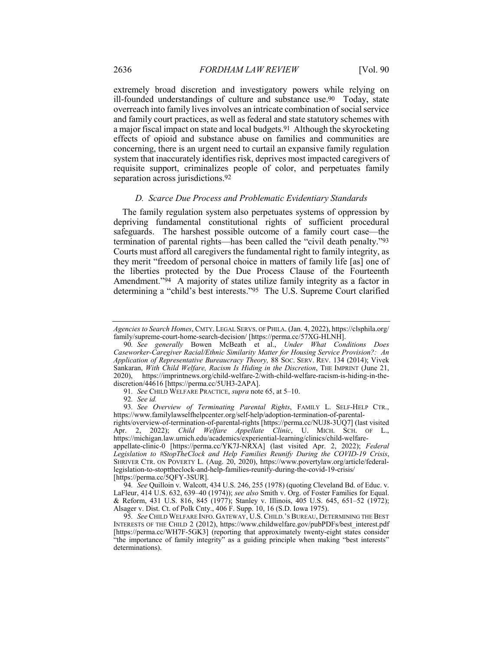extremely broad discretion and investigatory powers while relying on ill-founded understandings of culture and substance use.90 Today, state overreach into family lives involves an intricate combination of social service and family court practices, as well as federal and state statutory schemes with a major fiscal impact on state and local budgets.91 Although the skyrocketing effects of opioid and substance abuse on families and communities are concerning, there is an urgent need to curtail an expansive family regulation system that inaccurately identifies risk, deprives most impacted caregivers of requisite support, criminalizes people of color, and perpetuates family separation across jurisdictions.92

#### *D. Scarce Due Process and Problematic Evidentiary Standards*

The family regulation system also perpetuates systems of oppression by depriving fundamental constitutional rights of sufficient procedural safeguards. The harshest possible outcome of a family court case—the termination of parental rights—has been called the "civil death penalty."93 Courts must afford all caregivers the fundamental right to family integrity, as they merit "freedom of personal choice in matters of family life [as] one of the liberties protected by the Due Process Clause of the Fourteenth Amendment.<sup>"94</sup> A majority of states utilize family integrity as a factor in determining a "child's best interests."95 The U.S. Supreme Court clarified

92*. See id.*

*Agencies to Search Homes*, CMTY. LEGAL SERVS. OF PHILA. (Jan. 4, 2022), https://clsphila.org/ family/supreme-court-home-search-decision/ [https://perma.cc/57XG-HLNH].

<sup>90</sup>*. See generally* Bowen McBeath et al., *Under What Conditions Does Caseworker-Caregiver Racial/Ethnic Similarity Matter for Housing Service Provision?: An Application of Representative Bureaucracy Theory,* 88 SOC. SERV. REV. 134 (2014); Vivek Sankaran, *With Child Welfare, Racism Is Hiding in the Discretion*, THE IMPRINT (June 21, 2020), https://imprintnews.org/child-welfare-2/with-child-welfare-racism-is-hiding-in-thediscretion/44616 [https://perma.cc/5UH3-2APA].

<sup>91</sup>*. See* CHILD WELFARE PRACTICE, *supra* note 65, at 5–10.

<sup>93</sup>*. See Overview of Terminating Parental Rights*, FAMILY L. SELF-HELP CTR., https://www.familylawselfhelpcenter.org/self-help/adoption-termination-of-parental-

rights/overview-of-termination-of-parental-rights [https://perma.cc/NUJ8-3UQ7] (last visited Apr. 2, 2022); *Child Welfare Appellate Clinic*, U. MICH. SCH. OF L., https://michigan.law.umich.edu/academics/experiential-learning/clinics/child-welfare-

appellate-clinic-0 [https://perma.cc/YK7J-NRXA] (last visited Apr. 2, 2022); *Federal Legislation to #StopTheClock and Help Families Reunify During the COVID-19 Crisis*, SHRIVER CTR. ON POVERTY L. (Aug. 20, 2020), https://www.povertylaw.org/article/federallegislation-to-stopttheclock-and-help-families-reunify-during-the-covid-19-crisis/ [https://perma.cc/5QFY-3SUR].

<sup>94</sup>*. See* Quilloin v. Walcott, 434 U.S. 246, 255 (1978) (quoting Cleveland Bd. of Educ. v. LaFleur, 414 U.S. 632, 639–40 (1974)); *see also* Smith v. Org. of Foster Families for Equal. & Reform, 431 U.S. 816, 845 (1977); Stanley v. Illinois, 405 U.S. 645, 651–52 (1972); Alsager v. Dist. Ct. of Polk Cnty., 406 F. Supp. 10, 16 (S.D. Iowa 1975).

<sup>95</sup>*. See* CHILD WELFARE INFO. GATEWAY, U.S. CHILD.'S BUREAU, DETERMINING THE BEST INTERESTS OF THE CHILD 2 (2012), https://www.childwelfare.gov/pubPDFs/best\_interest.pdf [https://perma.cc/WH7F-5GK3] (reporting that approximately twenty-eight states consider "the importance of family integrity" as a guiding principle when making "best interests" determinations).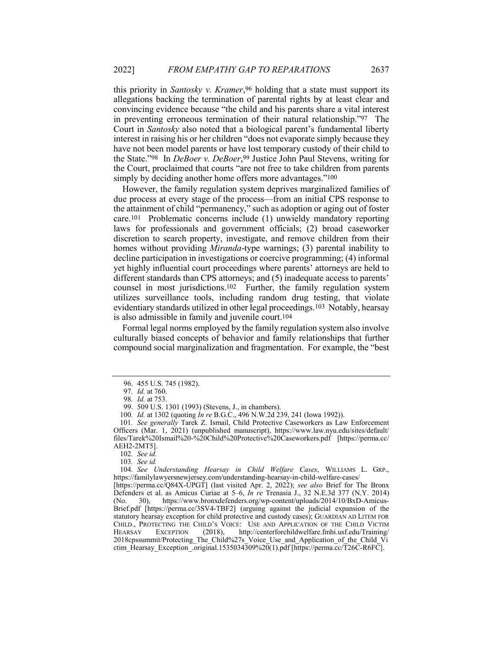this priority in *Santosky v. Kramer*,96 holding that a state must support its allegations backing the termination of parental rights by at least clear and convincing evidence because "the child and his parents share a vital interest in preventing erroneous termination of their natural relationship."97 The Court in *Santosky* also noted that a biological parent's fundamental liberty interest in raising his or her children "does not evaporate simply because they have not been model parents or have lost temporary custody of their child to the State."98 In *DeBoer v. DeBoer*,99 Justice John Paul Stevens, writing for the Court, proclaimed that courts "are not free to take children from parents simply by deciding another home offers more advantages."<sup>100</sup>

However, the family regulation system deprives marginalized families of due process at every stage of the process—from an initial CPS response to the attainment of child "permanency," such as adoption or aging out of foster care.101 Problematic concerns include (1) unwieldy mandatory reporting laws for professionals and government officials; (2) broad caseworker discretion to search property, investigate, and remove children from their homes without providing *Miranda*-type warnings; (3) parental inability to decline participation in investigations or coercive programming; (4) informal yet highly influential court proceedings where parents' attorneys are held to different standards than CPS attorneys; and (5) inadequate access to parents' counsel in most jurisdictions.102 Further, the family regulation system utilizes surveillance tools, including random drug testing, that violate evidentiary standards utilized in other legal proceedings.103 Notably, hearsay is also admissible in family and juvenile court.104

Formal legal norms employed by the family regulation system also involve culturally biased concepts of behavior and family relationships that further compound social marginalization and fragmentation. For example, the "best

101*. See generally* Tarek Z. Ismail, Child Protective Caseworkers as Law Enforcement Officers (Mar. 1, 2021) (unpublished manuscript), https://www.law.nyu.edu/sites/default/ files/Tarek%20Ismail%20-%20Child%20Protective%20Caseworkers.pdf [https://perma.cc/ AEH2-2MT5].

102*. See id.*

103*. See id.*

104*. See Understanding Hearsay in Child Welfare Cases*, WILLIAMS L. GRP., https://familylawyersnewjersey.com/understanding-hearsay-in-child-welfare-cases/

[https://perma.cc/Q84X-UPGT] (last visited Apr. 2, 2022); *see also* Brief for The Bronx Defenders et al. as Amicus Curiae at 5–6, *In re* Trenasia J., 32 N.E.3d 377 (N.Y. 2014) (No. 30), https://www.bronxdefenders.org/wp-content/uploads/2014/10/BxD-Amicus-(No. 30), https://www.bronxdefenders.org/wp-content/uploads/2014/10/BxD-Amicus-Brief.pdf [https://perma.cc/3SV4-TBF2] (arguing against the judicial expansion of the statutory hearsay exception for child protective and custody cases); GUARDIAN AD LITEM FOR CHILD., PROTECTING THE CHILD'S VOICE: USE AND APPLICATION OF THE CHILD VICTIM HEARSAY EXCEPTION (2018), http://centerforchildwelfare.fmhi.usf.edu/Training/ 2018cpssummit/Protecting\_The\_Child%27s Voice\_Use\_and\_Application\_of\_the\_Child\_Vi ctim\_Hearsay\_Exception\_original.1535034309%20(1).pdf [https://perma.cc/T26C-R6FC].

<sup>96.</sup> 455 U.S. 745 (1982).

<sup>97</sup>*. Id.* at 760.

<sup>98</sup>*. Id.* at 753.

<sup>99.</sup> 509 U.S. 1301 (1993) (Stevens, J., in chambers).

<sup>100</sup>*. Id.* at 1302 (quoting *In re* B.G.C., 496 N.W.2d 239, 241 (Iowa 1992)).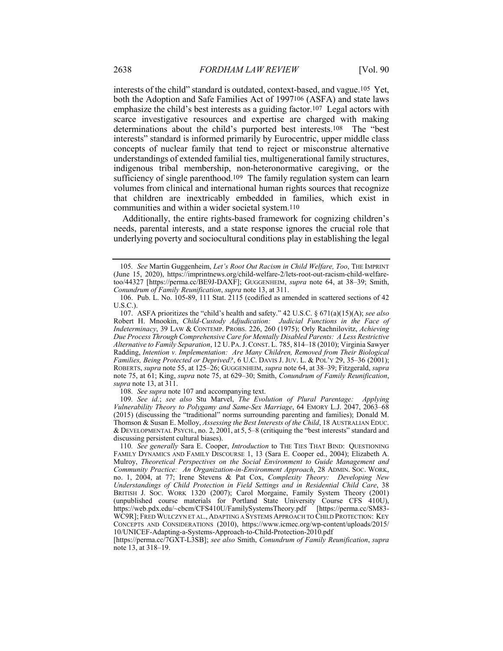interests of the child" standard is outdated, context-based, and vague.105 Yet, both the Adoption and Safe Families Act of 1997106 (ASFA) and state laws emphasize the child's best interests as a guiding factor.107 Legal actors with scarce investigative resources and expertise are charged with making determinations about the child's purported best interests.108 The "best interests" standard is informed primarily by Eurocentric, upper middle class concepts of nuclear family that tend to reject or misconstrue alternative understandings of extended familial ties, multigenerational family structures, indigenous tribal membership, non-heteronormative caregiving, or the sufficiency of single parenthood.<sup>109</sup> The family regulation system can learn volumes from clinical and international human rights sources that recognize that children are inextricably embedded in families, which exist in communities and within a wider societal system.110

Additionally, the entire rights-based framework for cognizing children's needs, parental interests, and a state response ignores the crucial role that underlying poverty and sociocultural conditions play in establishing the legal

108*. See supra* note 107 and accompanying text.

109*. See id.*; *see also* Stu Marvel, *The Evolution of Plural Parentage: Applying Vulnerability Theory to Polygamy and Same-Sex Marriage*, 64 EMORY L.J. 2047, 2063–68 (2015) (discussing the "traditional" norms surrounding parenting and families); Donald M. Thomson & Susan E. Molloy, *Assessing the Best Interests of the Child*, 18 AUSTRALIAN EDUC. & DEVELOPMENTAL PSYCH., no. 2, 2001, at 5, 5–8 (critiquing the "best interests" standard and discussing persistent cultural biases).

<sup>105</sup>*. See* Martin Guggenheim, *Let's Root Out Racism in Child Welfare, Too*, THE IMPRINT (June 15, 2020), https://imprintnews.org/child-welfare-2/lets-root-out-racism-child-welfaretoo/44327 [https://perma.cc/BE9J-DAXF]; GUGGENHEIM, *supra* note 64, at 38–39; Smith, *Conundrum of Family Reunification*, *supra* note 13, at 311.

<sup>106.</sup> Pub. L. No. 105-89, 111 Stat. 2115 (codified as amended in scattered sections of 42 U.S.C.).

<sup>107.</sup> ASFA prioritizes the "child's health and safety." 42 U.S.C. § 671(a)(15)(A); *see also* Robert H. Mnookin, *Child-Custody Adjudication: Judicial Functions in the Face of Indeterminacy*, 39 LAW & CONTEMP. PROBS. 226, 260 (1975); Orly Rachnilovitz, *Achieving Due Process Through Comprehensive Care for Mentally Disabled Parents: A Less Restrictive Alternative to Family Separation*, 12 U. PA.J.CONST. L. 785, 814–18 (2010); Virginia Sawyer Radding, *Intention v. Implementation: Are Many Children, Removed from Their Biological Families, Being Protected or Deprived?*, 6 U.C. DAVIS J. JUV. L. & POL'Y 29, 35–36 (2001); ROBERTS, *supra* note 55, at 125–26; GUGGENHEIM, *supra* note 64, at 38–39; Fitzgerald, *supra* note 75, at 61; King, *supra* note 75, at 629–30; Smith, *Conundrum of Family Reunification*, *supra* note 13, at 311.

<sup>110</sup>*. See generally* Sara E. Cooper, *Introduction* to THE TIES THAT BIND: QUESTIONING FAMILY DYNAMICS AND FAMILY DISCOURSE 1, 13 (Sara E. Cooper ed., 2004); Elizabeth A. Mulroy, *Theoretical Perspectives on the Social Environment to Guide Management and Community Practice: An Organization-in-Environment Approach*, 28 ADMIN. SOC. WORK, no. 1, 2004, at 77; Irene Stevens & Pat Cox, *Complexity Theory: Developing New Understandings of Child Protection in Field Settings and in Residential Child Care*, 38 BRITISH J. SOC. WORK 1320 (2007); Carol Morgaine, Family System Theory (2001) (unpublished course materials for Portland State University Course CFS 410U), https://web.pdx.edu/~cbcm/CFS410U/FamilySystemsTheory.pdf [https://perma.cc/SM83- WC9R]; FRED WULCZYN ET AL., ADAPTING A SYSTEMS APPROACH TO CHILD PROTECTION: KEY CONCEPTS AND CONSIDERATIONS (2010), https://www.icmec.org/wp-content/uploads/2015/ 10/UNICEF-Adapting-a-Systems-Approach-to-Child-Protection-2010.pdf

<sup>[</sup>https://perma.cc/7GXT-L3SB]; *see also* Smith, *Conundrum of Family Reunification*, *supra* note 13, at 318–19.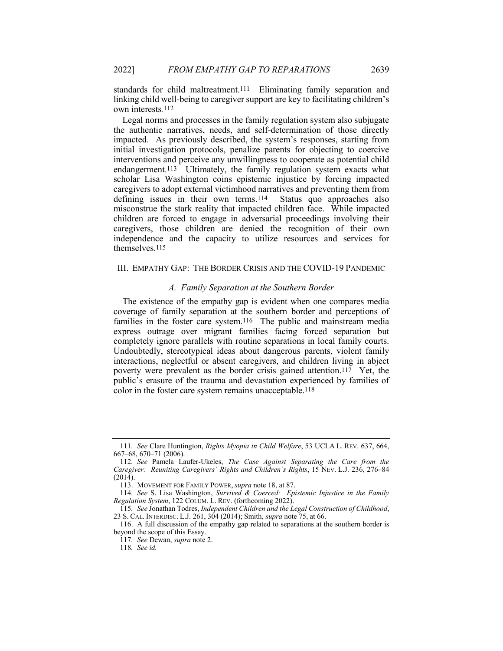standards for child maltreatment.111 Eliminating family separation and linking child well-being to caregiver support are key to facilitating children's own interests*.*112

Legal norms and processes in the family regulation system also subjugate the authentic narratives, needs, and self-determination of those directly impacted. As previously described, the system's responses, starting from initial investigation protocols, penalize parents for objecting to coercive interventions and perceive any unwillingness to cooperate as potential child endangerment.<sup>113</sup> Ultimately, the family regulation system exacts what scholar Lisa Washington coins epistemic injustice by forcing impacted caregivers to adopt external victimhood narratives and preventing them from defining issues in their own terms.<sup>114</sup> Status quo approaches also defining issues in their own terms. $114$ misconstrue the stark reality that impacted children face. While impacted children are forced to engage in adversarial proceedings involving their caregivers, those children are denied the recognition of their own independence and the capacity to utilize resources and services for themselves.115

## III. EMPATHY GAP: THE BORDER CRISIS AND THE COVID-19 PANDEMIC

#### *A. Family Separation at the Southern Border*

The existence of the empathy gap is evident when one compares media coverage of family separation at the southern border and perceptions of families in the foster care system.116 The public and mainstream media express outrage over migrant families facing forced separation but completely ignore parallels with routine separations in local family courts. Undoubtedly, stereotypical ideas about dangerous parents, violent family interactions, neglectful or absent caregivers, and children living in abject poverty were prevalent as the border crisis gained attention.117 Yet, the public's erasure of the trauma and devastation experienced by families of color in the foster care system remains unacceptable.118

<sup>111</sup>*. See* Clare Huntington, *Rights Myopia in Child Welfare*, 53 UCLA L. REV. 637, 664, 667–68, 670–71 (2006).

<sup>112</sup>*. See* Pamela Laufer-Ukeles, *The Case Against Separating the Care from the Caregiver: Reuniting Caregivers' Rights and Children's Rights*, 15 NEV. L.J. 236, 276–84 (2014).

<sup>113.</sup> MOVEMENT FOR FAMILY POWER, *supra* note 18, at 87.

<sup>114</sup>*. See* S. Lisa Washington, *Survived & Coerced: Epistemic Injustice in the Family Regulation System*, 122 COLUM. L. REV. (forthcoming 2022).

<sup>115</sup>*. See* Jonathan Todres, *Independent Children and the Legal Construction of Childhood*, 23 S. CAL. INTERDISC. L.J. 261, 304 (2014); Smith, *supra* note 75, at 66.

<sup>116.</sup> A full discussion of the empathy gap related to separations at the southern border is beyond the scope of this Essay.

<sup>117</sup>*. See* Dewan, *supra* note 2.

<sup>118</sup>*. See id.*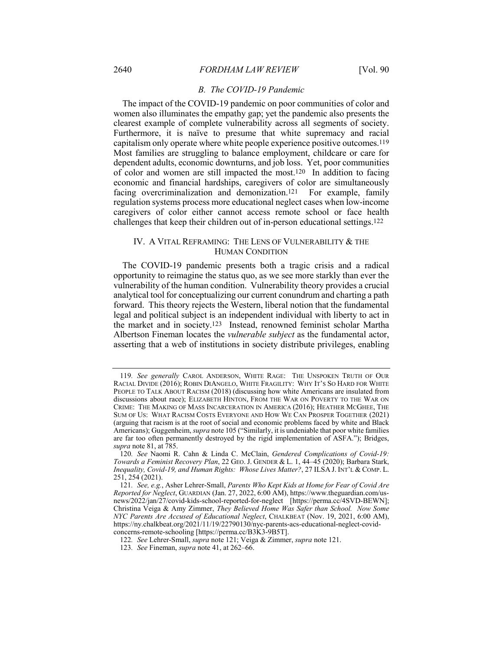## *B. The COVID-19 Pandemic*

The impact of the COVID-19 pandemic on poor communities of color and women also illuminates the empathy gap; yet the pandemic also presents the clearest example of complete vulnerability across all segments of society. Furthermore, it is naïve to presume that white supremacy and racial capitalism only operate where white people experience positive outcomes.119 Most families are struggling to balance employment, childcare or care for dependent adults, economic downturns, and job loss. Yet, poor communities of color and women are still impacted the most.120 In addition to facing economic and financial hardships, caregivers of color are simultaneously facing overcriminalization and demonization.<sup>121</sup> For example, family regulation systems process more educational neglect cases when low-income caregivers of color either cannot access remote school or face health challenges that keep their children out of in-person educational settings.122

## IV. A VITAL REFRAMING: THE LENS OF VULNERABILITY & THE HUMAN CONDITION

The COVID-19 pandemic presents both a tragic crisis and a radical opportunity to reimagine the status quo, as we see more starkly than ever the vulnerability of the human condition. Vulnerability theory provides a crucial analytical tool for conceptualizing our current conundrum and charting a path forward. This theory rejects the Western, liberal notion that the fundamental legal and political subject is an independent individual with liberty to act in the market and in society.123 Instead, renowned feminist scholar Martha Albertson Fineman locates the *vulnerable subject* as the fundamental actor, asserting that a web of institutions in society distribute privileges, enabling

<sup>119</sup>*. See generally* CAROL ANDERSON, WHITE RAGE: THE UNSPOKEN TRUTH OF OUR RACIAL DIVIDE (2016); ROBIN DIANGELO, WHITE FRAGILITY: WHY IT'S SO HARD FOR WHITE PEOPLE TO TALK ABOUT RACISM (2018) (discussing how white Americans are insulated from discussions about race); ELIZABETH HINTON, FROM THE WAR ON POVERTY TO THE WAR ON CRIME: THE MAKING OF MASS INCARCERATION IN AMERICA (2016); HEATHER MCGHEE, THE SUM OF US: WHAT RACISM COSTS EVERYONE AND HOW WE CAN PROSPER TOGETHER (2021) (arguing that racism is at the root of social and economic problems faced by white and Black Americans); Guggenheim, *supra* note 105 ("Similarly, it is undeniable that poor white families are far too often permanently destroyed by the rigid implementation of ASFA."); Bridges, *supra* note 81, at 785.

<sup>120</sup>*. See* Naomi R. Cahn & Linda C. McClain, *Gendered Complications of Covid-19: Towards a Feminist Recovery Plan*, 22 GEO. J. GENDER & L. 1, 44–45 (2020); Barbara Stark, *Inequality, Covid-19, and Human Rights: Whose Lives Matter?*, 27 ILSA J. INT'L & COMP. L. 251, 254 (2021).

<sup>121</sup>*. See, e.g.*, Asher Lehrer-Small, *Parents Who Kept Kids at Home for Fear of Covid Are Reported for Neglect*, GUARDIAN (Jan. 27, 2022, 6:00 AM), https://www.theguardian.com/usnews/2022/jan/27/covid-kids-school-reported-for-neglect [https://perma.cc/4SVD-BEWN]; Christina Veiga & Amy Zimmer, *They Believed Home Was Safer than School. Now Some NYC Parents Are Accused of Educational Neglect*, CHALKBEAT (Nov. 19, 2021, 6:00 AM), https://ny.chalkbeat.org/2021/11/19/22790130/nyc-parents-acs-educational-neglect-covidconcerns-remote-schooling [https://perma.cc/B3K3-9B5T].

<sup>122</sup>*. See* Lehrer-Small, *supra* note 121; Veiga & Zimmer, *supra* note 121.

<sup>123</sup>*. See* Fineman, *supra* note 41, at 262–66.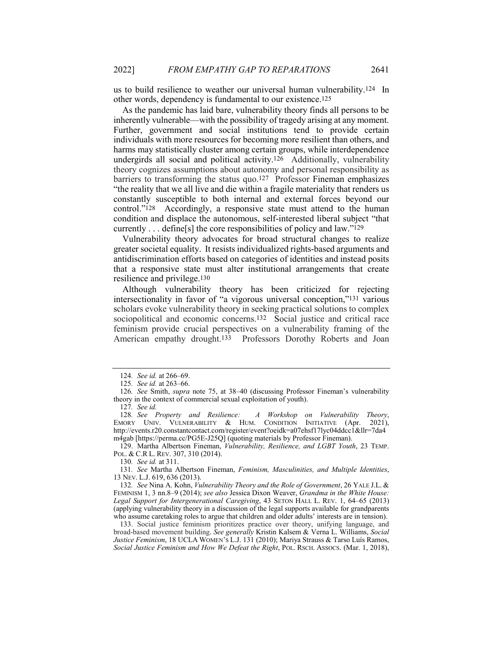us to build resilience to weather our universal human vulnerability.124 In other words, dependency is fundamental to our existence.125

As the pandemic has laid bare, vulnerability theory finds all persons to be inherently vulnerable—with the possibility of tragedy arising at any moment. Further, government and social institutions tend to provide certain individuals with more resources for becoming more resilient than others, and harms may statistically cluster among certain groups, while interdependence undergirds all social and political activity.126 Additionally, vulnerability theory cognizes assumptions about autonomy and personal responsibility as barriers to transforming the status quo.127 Professor Fineman emphasizes "the reality that we all live and die within a fragile materiality that renders us constantly susceptible to both internal and external forces beyond our control."128 Accordingly, a responsive state must attend to the human condition and displace the autonomous, self-interested liberal subject "that currently . . . define[s] the core responsibilities of policy and law."129

Vulnerability theory advocates for broad structural changes to realize greater societal equality. It resists individualized rights-based arguments and antidiscrimination efforts based on categories of identities and instead posits that a responsive state must alter institutional arrangements that create resilience and privilege.130

Although vulnerability theory has been criticized for rejecting intersectionality in favor of "a vigorous universal conception,"131 various scholars evoke vulnerability theory in seeking practical solutions to complex sociopolitical and economic concerns.132 Social justice and critical race feminism provide crucial perspectives on a vulnerability framing of the American empathy drought.133 Professors Dorothy Roberts and Joan

129. Martha Albertson Fineman, *Vulnerability, Resilience, and LGBT Youth*, 23 TEMP. POL. & C.R L. REV. 307, 310 (2014).

130*. See id.* at 311.

131*. See* Martha Albertson Fineman, *Feminism, Masculinities, and Multiple Identities*, 13 NEV. L.J. 619, 636 (2013).

132*. See* Nina A. Kohn, *Vulnerability Theory and the Role of Government*, 26 YALE J.L. & FEMINISM 1, 3 nn.8–9 (2014); *see also* Jessica Dixon Weaver, *Grandma in the White House: Legal Support for Intergenerational Caregiving*, 43 SETON HALL L. REV. 1, 64–65 (2013) (applying vulnerability theory in a discussion of the legal supports available for grandparents who assume caretaking roles to argue that children and older adults' interests are in tension).

133. Social justice feminism prioritizes practice over theory, unifying language, and broad-based movement building. *See generally* Kristin Kalsem & Verna L. Williams, *Social Justice Feminism*, 18 UCLA WOMEN'S L.J. 131 (2010); Mariya Strauss & Tarso Luís Ramos, *Social Justice Feminism and How We Defeat the Right*, POL. RSCH. ASSOCS. (Mar. 1, 2018),

<sup>124</sup>*. See id.* at 266–69.

<sup>125</sup>*. See id.* at 263–66.

<sup>126</sup>*. See* Smith, *supra* note 75, at 38–40 (discussing Professor Fineman's vulnerability theory in the context of commercial sexual exploitation of youth).

<sup>127</sup>*. See id.* 128*. See Property and Resilience: A Workshop on Vulnerability Theory*, EMORY UNIV. VULNERABILITY & HUM. CONDITION INITIATIVE (Apr. 2021), http://events.r20.constantcontact.com/register/event?oeidk=a07ehsf17lyc04ddcc1&llr=7da4 m4gab [https://perma.cc/PG5E-J25Q] (quoting materials by Professor Fineman).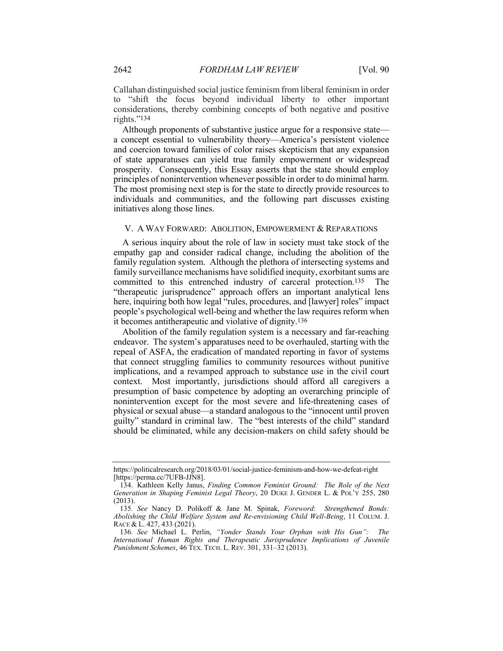Callahan distinguished social justice feminism from liberal feminism in order to "shift the focus beyond individual liberty to other important considerations, thereby combining concepts of both negative and positive rights."134

Although proponents of substantive justice argue for a responsive state a concept essential to vulnerability theory—America's persistent violence and coercion toward families of color raises skepticism that any expansion of state apparatuses can yield true family empowerment or widespread prosperity. Consequently, this Essay asserts that the state should employ principles of nonintervention whenever possible in order to do minimal harm. The most promising next step is for the state to directly provide resources to individuals and communities, and the following part discusses existing initiatives along those lines.

#### V. A WAY FORWARD: ABOLITION, EMPOWERMENT & REPARATIONS

A serious inquiry about the role of law in society must take stock of the empathy gap and consider radical change, including the abolition of the family regulation system. Although the plethora of intersecting systems and family surveillance mechanisms have solidified inequity, exorbitant sums are committed to this entrenched industry of carceral protection.135 The "therapeutic jurisprudence" approach offers an important analytical lens here, inquiring both how legal "rules, procedures, and [lawyer] roles" impact people's psychological well-being and whether the law requires reform when it becomes antitherapeutic and violative of dignity.136

Abolition of the family regulation system is a necessary and far-reaching endeavor. The system's apparatuses need to be overhauled, starting with the repeal of ASFA, the eradication of mandated reporting in favor of systems that connect struggling families to community resources without punitive implications, and a revamped approach to substance use in the civil court context. Most importantly, jurisdictions should afford all caregivers a presumption of basic competence by adopting an overarching principle of nonintervention except for the most severe and life-threatening cases of physical or sexual abuse—a standard analogous to the "innocent until proven guilty" standard in criminal law. The "best interests of the child" standard should be eliminated, while any decision-makers on child safety should be

https://politicalresearch.org/2018/03/01/social-justice-feminism-and-how-we-defeat-right [https://perma.cc/7UFB-JJN8].

<sup>134.</sup> Kathleen Kelly Janus, *Finding Common Feminist Ground: The Role of the Next Generation in Shaping Feminist Legal Theory*, 20 DUKE J. GENDER L. & POL'Y 255, 280 (2013).

<sup>135</sup>*. See* Nancy D. Polikoff & Jane M. Spinak, *Foreword*: *Strengthened Bonds: Abolishing the Child Welfare System and Re-envisioning Child Well-Being*, 11 COLUM. J. RACE & L. 427, 433 (2021).

<sup>136</sup>*. See* Michael L. Perlin, *"Yonder Stands Your Orphan with His Gun": The International Human Rights and Therapeutic Jurisprudence Implications of Juvenile Punishment Schemes*, 46 TEX. TECH. L. REV. 301, 331–32 (2013).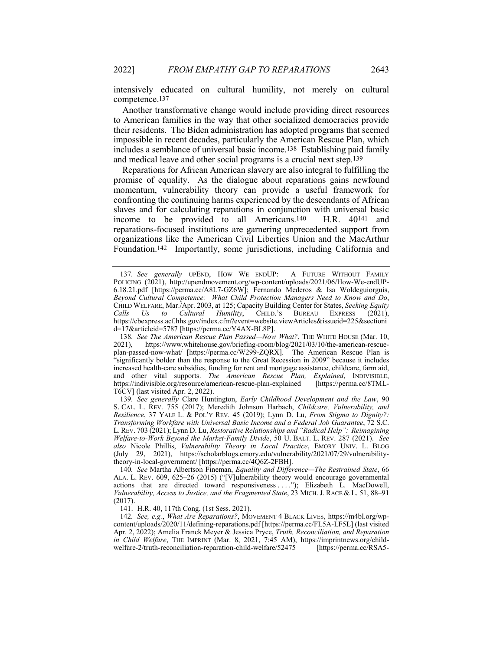intensively educated on cultural humility, not merely on cultural competence.137

Another transformative change would include providing direct resources to American families in the way that other socialized democracies provide their residents. The Biden administration has adopted programs that seemed impossible in recent decades, particularly the American Rescue Plan, which includes a semblance of universal basic income.138 Establishing paid family and medical leave and other social programs is a crucial next step.139

Reparations for African American slavery are also integral to fulfilling the promise of equality. As the dialogue about reparations gains newfound momentum, vulnerability theory can provide a useful framework for confronting the continuing harms experienced by the descendants of African slaves and for calculating reparations in conjunction with universal basic income to be provided to all Americans.140 H.R. 40141 and reparations-focused institutions are garnering unprecedented support from organizations like the American Civil Liberties Union and the MacArthur Foundation.142 Importantly, some jurisdictions, including California and

141. H.R. 40, 117th Cong. (1st Sess. 2021).

<sup>137</sup>*. See generally* UPEND, HOW WE ENDUP: A FUTURE WITHOUT FAMILY POLICING (2021), http://upendmovement.org/wp-content/uploads/2021/06/How-We-endUP-6.18.21.pdf [https://perma.cc/A8L7-GZ6W]; Fernando Mederos & Isa Woldeguiorguis, *Beyond Cultural Competence: What Child Protection Managers Need to Know and Do*, CHILD WELFARE, Mar./Apr. 2003, at 125; Capacity Building Center for States, *Seeking Equity Calls Us to Cultural Humility*, CHILD.'S BUREAU EXPRESS (2021), https://cbexpress.acf.hhs.gov/index.cfm?event=website.viewArticles&issueid=225&sectioni d=17&articleid=5787 [https://perma.cc/Y4AX-BL8P].

<sup>138</sup>*. See The American Rescue Plan Passed—Now What?*, THE WHITE HOUSE (Mar. 10, 2021), https://www.whitehouse.gov/briefing-room/blog/2021/03/10/the-american-rescueplan-passed-now-what/ [https://perma.cc/W299-ZQRX]. The American Rescue Plan is "significantly bolder than the response to the Great Recession in 2009" because it includes increased health-care subsidies, funding for rent and mortgage assistance, childcare, farm aid, and other vital supports. *The American Rescue Plan, Explained*, INDIVISIBLE, https://indivisible.org/resource/american-rescue-plan-explained [https://perma.cc/8TMLhttps://indivisible.org/resource/american-rescue-plan-explained T6CV] (last visited Apr. 2, 2022).

<sup>139</sup>*. See generally* Clare Huntington, *Early Childhood Development and the Law*, 90 S. CAL. L. REV. 755 (2017); Meredith Johnson Harbach, *Childcare, Vulnerability, and Resilience*, 37 YALE L. & POL'Y REV. 45 (2019); Lynn D. Lu, *From Stigma to Dignity?: Transforming Workfare with Universal Basic Income and a Federal Job Guarantee*, 72 S.C. L.REV. 703 (2021); Lynn D. Lu, *Restorative Relationships and "Radical Help": Reimagining Welfare-to-Work Beyond the Market-Family Divide*, 50 U. BALT. L. REV. 287 (2021). *See also* Nicole Phillis, *Vulnerability Theory in Local Practice*, EMORY UNIV. L. BLOG (July 29, 2021), https://scholarblogs.emory.edu/vulnerability/2021/07/29/vulnerabilitytheory-in-local-government/ [https://perma.cc/4Q6Z-2FBH].

<sup>140</sup>*. See* Martha Albertson Fineman, *Equality and Difference—The Restrained State*, 66 ALA. L. REV. 609, 625–26 (2015) ("[V]ulnerability theory would encourage governmental actions that are directed toward responsiveness . . . ."); Elizabeth L. MacDowell, *Vulnerability, Access to Justice, and the Fragmented State*, 23 MICH. J. RACE & L. 51, 88–91 (2017).

<sup>142</sup>*. See, e.g.*, *What Are Reparations?*, MOVEMENT 4 BLACK LIVES, https://m4bl.org/wpcontent/uploads/2020/11/defining-reparations.pdf [https://perma.cc/FL5A-LF5L] (last visited Apr. 2, 2022); Amelia Franck Meyer & Jessica Pryce, *Truth, Reconciliation, and Reparation in Child Welfare*, THE IMPRINT (Mar. 8, 2021, 7:45 AM), https://imprintnews.org/child-welfare-2/truth-reconciliation-reparation-child-welfare/52475 [https://perma.cc/RSA5welfare-2/truth-reconciliation-reparation-child-welfare/52475